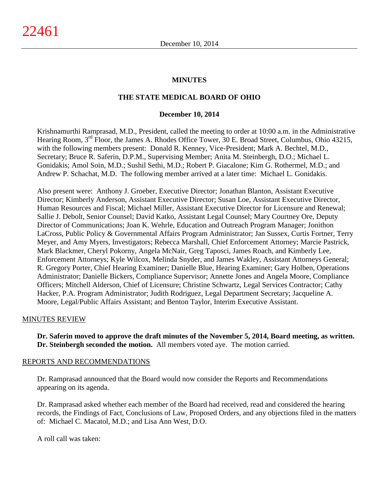# **MINUTES**

# **THE STATE MEDICAL BOARD OF OHIO**

#### **December 10, 2014**

Krishnamurthi Ramprasad, M.D., President, called the meeting to order at 10:00 a.m. in the Administrative Hearing Room, 3<sup>rd</sup> Floor, the James A. Rhodes Office Tower, 30 E. Broad Street, Columbus, Ohio 43215, with the following members present: Donald R. Kenney, Vice-President; Mark A. Bechtel, M.D., Secretary; Bruce R. Saferin, D.P.M., Supervising Member; Anita M. Steinbergh, D.O.; Michael L. Gonidakis; Amol Soin, M.D.; Sushil Sethi, M.D.; Robert P. Giacalone; Kim G. Rothermel, M.D.; and Andrew P. Schachat, M.D. The following member arrived at a later time: Michael L. Gonidakis.

Also present were: Anthony J. Groeber, Executive Director; Jonathan Blanton, Assistant Executive Director; Kimberly Anderson, Assistant Executive Director; Susan Loe, Assistant Executive Director, Human Resources and Fiscal; Michael Miller, Assistant Executive Director for Licensure and Renewal; Sallie J. Debolt, Senior Counsel; David Katko, Assistant Legal Counsel; Mary Courtney Ore, Deputy Director of Communications; Joan K. Wehrle, Education and Outreach Program Manager; Jonithon LaCross, Public Policy & Governmental Affairs Program Administrator; Jan Sussex, Curtis Fortner, Terry Meyer, and Amy Myers, Investigators; Rebecca Marshall, Chief Enforcement Attorney; Marcie Pastrick, Mark Blackmer, Cheryl Pokorny, Angela McNair, Greg Taposci, James Roach, and Kimberly Lee, Enforcement Attorneys; Kyle Wilcox, Melinda Snyder, and James Wakley, Assistant Attorneys General; R. Gregory Porter, Chief Hearing Examiner; Danielle Blue, Hearing Examiner; Gary Holben, Operations Administrator; Danielle Bickers, Compliance Supervisor; Annette Jones and Angela Moore, Compliance Officers; Mitchell Alderson, Chief of Licensure; Christine Schwartz, Legal Services Contractor; Cathy Hacker, P.A. Program Administrator; Judith Rodriguez, Legal Department Secretary; Jacqueline A. Moore, Legal/Public Affairs Assistant; and Benton Taylor, Interim Executive Assistant.

# MINUTES REVIEW

**Dr. Saferin moved to approve the draft minutes of the November 5, 2014, Board meeting, as written. Dr. Steinbergh seconded the motion.** All members voted aye. The motion carried.

#### REPORTS AND RECOMMENDATIONS

Dr. Ramprasad announced that the Board would now consider the Reports and Recommendations appearing on its agenda.

Dr. Ramprasad asked whether each member of the Board had received, read and considered the hearing records, the Findings of Fact, Conclusions of Law, Proposed Orders, and any objections filed in the matters of: Michael C. Macatol, M.D.; and Lisa Ann West, D.O.

A roll call was taken: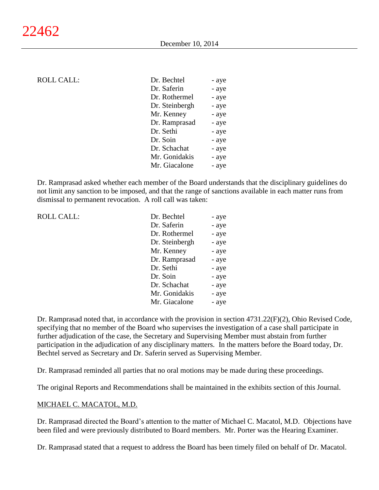## ROLL CALL:

| Dr. Bechtel    | - aye |
|----------------|-------|
| Dr. Saferin    | - aye |
| Dr. Rothermel  | - aye |
| Dr. Steinbergh | - aye |
| Mr. Kenney     | - aye |
| Dr. Ramprasad  | - aye |
| Dr. Sethi      | - aye |
| Dr. Soin       | - aye |
| Dr. Schachat   | - aye |
| Mr. Gonidakis  | - aye |
| Mr. Giacalone  | - aye |
|                |       |

Dr. Ramprasad asked whether each member of the Board understands that the disciplinary guidelines do not limit any sanction to be imposed, and that the range of sanctions available in each matter runs from dismissal to permanent revocation. A roll call was taken:

| ROLL CALL: | Dr. Bechtel    | - aye |
|------------|----------------|-------|
|            | Dr. Saferin    | - aye |
|            | Dr. Rothermel  | - aye |
|            | Dr. Steinbergh | - aye |
|            | Mr. Kenney     | - aye |
|            | Dr. Ramprasad  | - aye |
|            | Dr. Sethi      | - aye |
|            | Dr. Soin       | - aye |
|            | Dr. Schachat   | - aye |
|            | Mr. Gonidakis  | - aye |
|            | Mr. Giacalone  | - aye |

Dr. Ramprasad noted that, in accordance with the provision in section 4731.22(F)(2), Ohio Revised Code, specifying that no member of the Board who supervises the investigation of a case shall participate in further adjudication of the case, the Secretary and Supervising Member must abstain from further participation in the adjudication of any disciplinary matters. In the matters before the Board today, Dr. Bechtel served as Secretary and Dr. Saferin served as Supervising Member.

Dr. Ramprasad reminded all parties that no oral motions may be made during these proceedings.

The original Reports and Recommendations shall be maintained in the exhibits section of this Journal.

# MICHAEL C. MACATOL, M.D.

Dr. Ramprasad directed the Board's attention to the matter of Michael C. Macatol, M.D. Objections have been filed and were previously distributed to Board members. Mr. Porter was the Hearing Examiner.

Dr. Ramprasad stated that a request to address the Board has been timely filed on behalf of Dr. Macatol.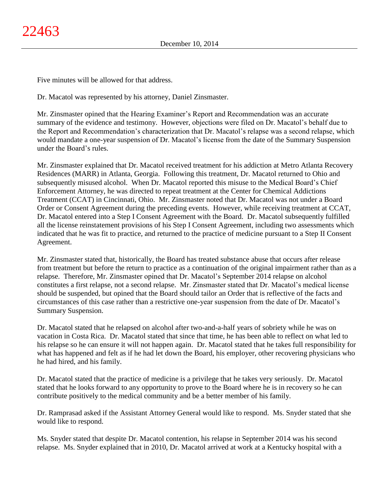Five minutes will be allowed for that address.

Dr. Macatol was represented by his attorney, Daniel Zinsmaster.

Mr. Zinsmaster opined that the Hearing Examiner's Report and Recommendation was an accurate summary of the evidence and testimony. However, objections were filed on Dr. Macatol's behalf due to the Report and Recommendation's characterization that Dr. Macatol's relapse was a second relapse, which would mandate a one-year suspension of Dr. Macatol's license from the date of the Summary Suspension under the Board's rules.

Mr. Zinsmaster explained that Dr. Macatol received treatment for his addiction at Metro Atlanta Recovery Residences (MARR) in Atlanta, Georgia. Following this treatment, Dr. Macatol returned to Ohio and subsequently misused alcohol. When Dr. Macatol reported this misuse to the Medical Board's Chief Enforcement Attorney, he was directed to repeat treatment at the Center for Chemical Addictions Treatment (CCAT) in Cincinnati, Ohio. Mr. Zinsmaster noted that Dr. Macatol was not under a Board Order or Consent Agreement during the preceding events. However, while receiving treatment at CCAT, Dr. Macatol entered into a Step I Consent Agreement with the Board. Dr. Macatol subsequently fulfilled all the license reinstatement provisions of his Step I Consent Agreement, including two assessments which indicated that he was fit to practice, and returned to the practice of medicine pursuant to a Step II Consent Agreement.

Mr. Zinsmaster stated that, historically, the Board has treated substance abuse that occurs after release from treatment but before the return to practice as a continuation of the original impairment rather than as a relapse. Therefore, Mr. Zinsmaster opined that Dr. Macatol's September 2014 relapse on alcohol constitutes a first relapse, not a second relapse. Mr. Zinsmaster stated that Dr. Macatol's medical license should be suspended, but opined that the Board should tailor an Order that is reflective of the facts and circumstances of this case rather than a restrictive one-year suspension from the date of Dr. Macatol's Summary Suspension.

Dr. Macatol stated that he relapsed on alcohol after two-and-a-half years of sobriety while he was on vacation in Costa Rica. Dr. Macatol stated that since that time, he has been able to reflect on what led to his relapse so he can ensure it will not happen again. Dr. Macatol stated that he takes full responsibility for what has happened and felt as if he had let down the Board, his employer, other recovering physicians who he had hired, and his family.

Dr. Macatol stated that the practice of medicine is a privilege that he takes very seriously. Dr. Macatol stated that he looks forward to any opportunity to prove to the Board where he is in recovery so he can contribute positively to the medical community and be a better member of his family.

Dr. Ramprasad asked if the Assistant Attorney General would like to respond. Ms. Snyder stated that she would like to respond.

Ms. Snyder stated that despite Dr. Macatol contention, his relapse in September 2014 was his second relapse. Ms. Snyder explained that in 2010, Dr. Macatol arrived at work at a Kentucky hospital with a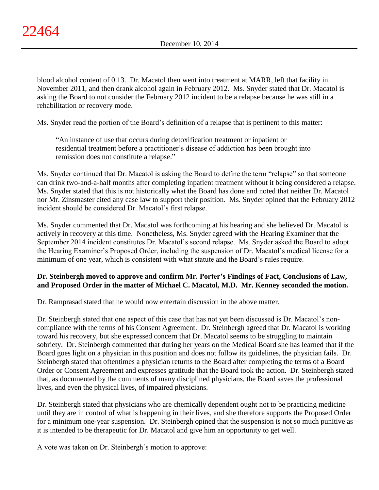blood alcohol content of 0.13. Dr. Macatol then went into treatment at MARR, left that facility in November 2011, and then drank alcohol again in February 2012. Ms. Snyder stated that Dr. Macatol is asking the Board to not consider the February 2012 incident to be a relapse because he was still in a rehabilitation or recovery mode.

Ms. Snyder read the portion of the Board's definition of a relapse that is pertinent to this matter:

"An instance of use that occurs during detoxification treatment or inpatient or residential treatment before a practitioner's disease of addiction has been brought into remission does not constitute a relapse."

Ms. Snyder continued that Dr. Macatol is asking the Board to define the term "relapse" so that someone can drink two-and-a-half months after completing inpatient treatment without it being considered a relapse. Ms. Snyder stated that this is not historically what the Board has done and noted that neither Dr. Macatol nor Mr. Zinsmaster cited any case law to support their position. Ms. Snyder opined that the February 2012 incident should be considered Dr. Macatol's first relapse.

Ms. Snyder commented that Dr. Macatol was forthcoming at his hearing and she believed Dr. Macatol is actively in recovery at this time. Nonetheless, Ms. Snyder agreed with the Hearing Examiner that the September 2014 incident constitutes Dr. Macatol's second relapse. Ms. Snyder asked the Board to adopt the Hearing Examiner's Proposed Order, including the suspension of Dr. Macatol's medical license for a minimum of one year, which is consistent with what statute and the Board's rules require.

# **Dr. Steinbergh moved to approve and confirm Mr. Porter's Findings of Fact, Conclusions of Law, and Proposed Order in the matter of Michael C. Macatol, M.D. Mr. Kenney seconded the motion.**

Dr. Ramprasad stated that he would now entertain discussion in the above matter.

Dr. Steinbergh stated that one aspect of this case that has not yet been discussed is Dr. Macatol's noncompliance with the terms of his Consent Agreement. Dr. Steinbergh agreed that Dr. Macatol is working toward his recovery, but she expressed concern that Dr. Macatol seems to be struggling to maintain sobriety. Dr. Steinbergh commented that during her years on the Medical Board she has learned that if the Board goes light on a physician in this position and does not follow its guidelines, the physician fails. Dr. Steinbergh stated that oftentimes a physician returns to the Board after completing the terms of a Board Order or Consent Agreement and expresses gratitude that the Board took the action. Dr. Steinbergh stated that, as documented by the comments of many disciplined physicians, the Board saves the professional lives, and even the physical lives, of impaired physicians.

Dr. Steinbergh stated that physicians who are chemically dependent ought not to be practicing medicine until they are in control of what is happening in their lives, and she therefore supports the Proposed Order for a minimum one-year suspension. Dr. Steinbergh opined that the suspension is not so much punitive as it is intended to be therapeutic for Dr. Macatol and give him an opportunity to get well.

A vote was taken on Dr. Steinbergh's motion to approve: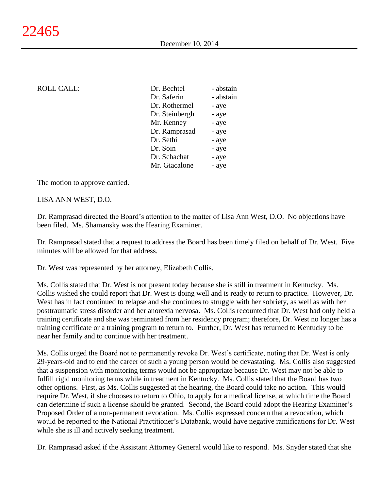| <b>ROLL CALL:</b> | Dr. Bechtel    | - abstain |
|-------------------|----------------|-----------|
|                   | Dr. Saferin    | - abstain |
|                   | Dr. Rothermel  | - aye     |
|                   | Dr. Steinbergh | - aye     |
|                   | Mr. Kenney     | - aye     |
|                   | Dr. Ramprasad  | - aye     |
|                   | Dr. Sethi      | - aye     |
|                   | Dr. Soin       | - aye     |
|                   | Dr. Schachat   | - aye     |
|                   | Mr. Giacalone  | - aye     |
|                   |                |           |

The motion to approve carried.

#### LISA ANN WEST, D.O.

Dr. Ramprasad directed the Board's attention to the matter of Lisa Ann West, D.O. No objections have been filed. Ms. Shamansky was the Hearing Examiner.

Dr. Ramprasad stated that a request to address the Board has been timely filed on behalf of Dr. West. Five minutes will be allowed for that address.

Dr. West was represented by her attorney, Elizabeth Collis.

Ms. Collis stated that Dr. West is not present today because she is still in treatment in Kentucky. Ms. Collis wished she could report that Dr. West is doing well and is ready to return to practice. However, Dr. West has in fact continued to relapse and she continues to struggle with her sobriety, as well as with her posttraumatic stress disorder and her anorexia nervosa. Ms. Collis recounted that Dr. West had only held a training certificate and she was terminated from her residency program; therefore, Dr. West no longer has a training certificate or a training program to return to. Further, Dr. West has returned to Kentucky to be near her family and to continue with her treatment.

Ms. Collis urged the Board not to permanently revoke Dr. West's certificate, noting that Dr. West is only 29-years-old and to end the career of such a young person would be devastating. Ms. Collis also suggested that a suspension with monitoring terms would not be appropriate because Dr. West may not be able to fulfill rigid monitoring terms while in treatment in Kentucky. Ms. Collis stated that the Board has two other options. First, as Ms. Collis suggested at the hearing, the Board could take no action. This would require Dr. West, if she chooses to return to Ohio, to apply for a medical license, at which time the Board can determine if such a license should be granted. Second, the Board could adopt the Hearing Examiner's Proposed Order of a non-permanent revocation. Ms. Collis expressed concern that a revocation, which would be reported to the National Practitioner's Databank, would have negative ramifications for Dr. West while she is ill and actively seeking treatment.

Dr. Ramprasad asked if the Assistant Attorney General would like to respond. Ms. Snyder stated that she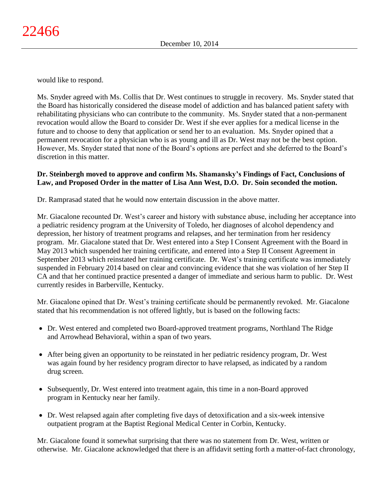would like to respond.

Ms. Snyder agreed with Ms. Collis that Dr. West continues to struggle in recovery. Ms. Snyder stated that the Board has historically considered the disease model of addiction and has balanced patient safety with rehabilitating physicians who can contribute to the community. Ms. Snyder stated that a non-permanent revocation would allow the Board to consider Dr. West if she ever applies for a medical license in the future and to choose to deny that application or send her to an evaluation. Ms. Snyder opined that a permanent revocation for a physician who is as young and ill as Dr. West may not be the best option. However, Ms. Snyder stated that none of the Board's options are perfect and she deferred to the Board's discretion in this matter.

# **Dr. Steinbergh moved to approve and confirm Ms. Shamansky's Findings of Fact, Conclusions of Law, and Proposed Order in the matter of Lisa Ann West, D.O. Dr. Soin seconded the motion.**

Dr. Ramprasad stated that he would now entertain discussion in the above matter.

Mr. Giacalone recounted Dr. West's career and history with substance abuse, including her acceptance into a pediatric residency program at the University of Toledo, her diagnoses of alcohol dependency and depression, her history of treatment programs and relapses, and her termination from her residency program. Mr. Giacalone stated that Dr. West entered into a Step I Consent Agreement with the Board in May 2013 which suspended her training certificate, and entered into a Step II Consent Agreement in September 2013 which reinstated her training certificate. Dr. West's training certificate was immediately suspended in February 2014 based on clear and convincing evidence that she was violation of her Step II CA and that her continued practice presented a danger of immediate and serious harm to public. Dr. West currently resides in Barberville, Kentucky.

Mr. Giacalone opined that Dr. West's training certificate should be permanently revoked. Mr. Giacalone stated that his recommendation is not offered lightly, but is based on the following facts:

- Dr. West entered and completed two Board-approved treatment programs, Northland The Ridge and Arrowhead Behavioral, within a span of two years.
- After being given an opportunity to be reinstated in her pediatric residency program, Dr. West was again found by her residency program director to have relapsed, as indicated by a random drug screen.
- Subsequently, Dr. West entered into treatment again, this time in a non-Board approved program in Kentucky near her family.
- Dr. West relapsed again after completing five days of detoxification and a six-week intensive outpatient program at the Baptist Regional Medical Center in Corbin, Kentucky.

Mr. Giacalone found it somewhat surprising that there was no statement from Dr. West, written or otherwise. Mr. Giacalone acknowledged that there is an affidavit setting forth a matter-of-fact chronology,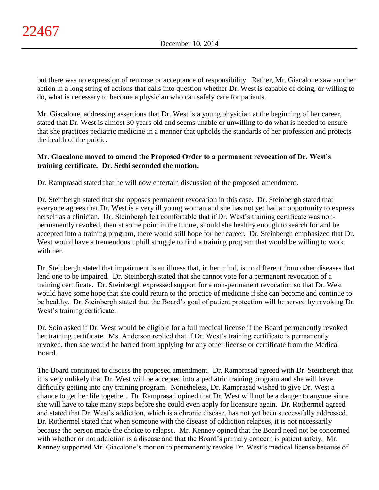but there was no expression of remorse or acceptance of responsibility. Rather, Mr. Giacalone saw another action in a long string of actions that calls into question whether Dr. West is capable of doing, or willing to do, what is necessary to become a physician who can safely care for patients.

Mr. Giacalone, addressing assertions that Dr. West is a young physician at the beginning of her career, stated that Dr. West is almost 30 years old and seems unable or unwilling to do what is needed to ensure that she practices pediatric medicine in a manner that upholds the standards of her profession and protects the health of the public.

# **Mr. Giacalone moved to amend the Proposed Order to a permanent revocation of Dr. West's training certificate. Dr. Sethi seconded the motion.**

Dr. Ramprasad stated that he will now entertain discussion of the proposed amendment.

Dr. Steinbergh stated that she opposes permanent revocation in this case. Dr. Steinbergh stated that everyone agrees that Dr. West is a very ill young woman and she has not yet had an opportunity to express herself as a clinician. Dr. Steinbergh felt comfortable that if Dr. West's training certificate was nonpermanently revoked, then at some point in the future, should she healthy enough to search for and be accepted into a training program, there would still hope for her career. Dr. Steinbergh emphasized that Dr. West would have a tremendous uphill struggle to find a training program that would be willing to work with her.

Dr. Steinbergh stated that impairment is an illness that, in her mind, is no different from other diseases that lend one to be impaired. Dr. Steinbergh stated that she cannot vote for a permanent revocation of a training certificate. Dr. Steinbergh expressed support for a non-permanent revocation so that Dr. West would have some hope that she could return to the practice of medicine if she can become and continue to be healthy. Dr. Steinbergh stated that the Board's goal of patient protection will be served by revoking Dr. West's training certificate.

Dr. Soin asked if Dr. West would be eligible for a full medical license if the Board permanently revoked her training certificate. Ms. Anderson replied that if Dr. West's training certificate is permanently revoked, then she would be barred from applying for any other license or certificate from the Medical Board.

The Board continued to discuss the proposed amendment. Dr. Ramprasad agreed with Dr. Steinbergh that it is very unlikely that Dr. West will be accepted into a pediatric training program and she will have difficulty getting into any training program. Nonetheless, Dr. Ramprasad wished to give Dr. West a chance to get her life together. Dr. Ramprasad opined that Dr. West will not be a danger to anyone since she will have to take many steps before she could even apply for licensure again. Dr. Rothermel agreed and stated that Dr. West's addiction, which is a chronic disease, has not yet been successfully addressed. Dr. Rothermel stated that when someone with the disease of addiction relapses, it is not necessarily because the person made the choice to relapse. Mr. Kenney opined that the Board need not be concerned with whether or not addiction is a disease and that the Board's primary concern is patient safety. Mr. Kenney supported Mr. Giacalone's motion to permanently revoke Dr. West's medical license because of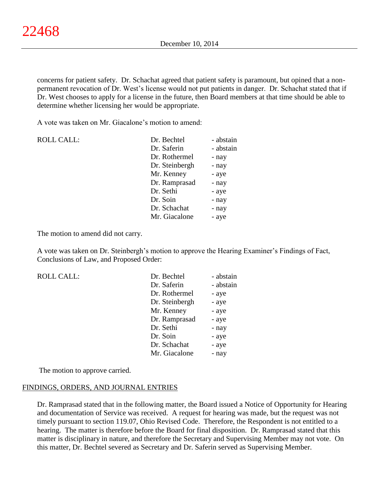concerns for patient safety. Dr. Schachat agreed that patient safety is paramount, but opined that a nonpermanent revocation of Dr. West's license would not put patients in danger. Dr. Schachat stated that if Dr. West chooses to apply for a license in the future, then Board members at that time should be able to determine whether licensing her would be appropriate.

A vote was taken on Mr. Giacalone's motion to amend:

| <b>ROLL CALL:</b> | Dr. Bechtel    | - abstain |
|-------------------|----------------|-----------|
|                   | Dr. Saferin    | - abstain |
|                   | Dr. Rothermel  | - nay     |
|                   | Dr. Steinbergh | - nay     |
|                   | Mr. Kenney     | - aye     |
|                   | Dr. Ramprasad  | - nay     |
|                   | Dr. Sethi      | - aye     |
|                   | Dr. Soin       | - nay     |
|                   | Dr. Schachat   | - nay     |
|                   | Mr. Giacalone  | - aye     |
|                   |                |           |

The motion to amend did not carry.

A vote was taken on Dr. Steinbergh's motion to approve the Hearing Examiner's Findings of Fact, Conclusions of Law, and Proposed Order:

| <b>ROLL CALL:</b> | Dr. Bechtel    | - abstain |
|-------------------|----------------|-----------|
|                   | Dr. Saferin    | - abstain |
|                   | Dr. Rothermel  | - aye     |
|                   | Dr. Steinbergh | - aye     |
|                   | Mr. Kenney     | - aye     |
|                   | Dr. Ramprasad  | - aye     |
|                   | Dr. Sethi      | - nay     |
|                   | Dr. Soin       | - aye     |
|                   | Dr. Schachat   | - aye     |
|                   | Mr. Giacalone  | - nay     |

The motion to approve carried.

#### FINDINGS, ORDERS, AND JOURNAL ENTRIES

Dr. Ramprasad stated that in the following matter, the Board issued a Notice of Opportunity for Hearing and documentation of Service was received. A request for hearing was made, but the request was not timely pursuant to section 119.07, Ohio Revised Code. Therefore, the Respondent is not entitled to a hearing. The matter is therefore before the Board for final disposition. Dr. Ramprasad stated that this matter is disciplinary in nature, and therefore the Secretary and Supervising Member may not vote. On this matter, Dr. Bechtel severed as Secretary and Dr. Saferin served as Supervising Member.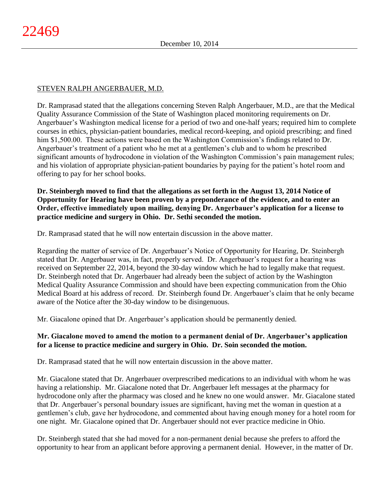# STEVEN RALPH ANGERBAUER, M.D.

Dr. Ramprasad stated that the allegations concerning Steven Ralph Angerbauer, M.D., are that the Medical Quality Assurance Commission of the State of Washington placed monitoring requirements on Dr. Angerbauer's Washington medical license for a period of two and one-half years; required him to complete courses in ethics, physician-patient boundaries, medical record-keeping, and opioid prescribing; and fined him \$1,500.00. These actions were based on the Washington Commission's findings related to Dr. Angerbauer's treatment of a patient who he met at a gentlemen's club and to whom he prescribed significant amounts of hydrocodone in violation of the Washington Commission's pain management rules; and his violation of appropriate physician-patient boundaries by paying for the patient's hotel room and offering to pay for her school books.

**Dr. Steinbergh moved to find that the allegations as set forth in the August 13, 2014 Notice of Opportunity for Hearing have been proven by a preponderance of the evidence, and to enter an Order, effective immediately upon mailing, denying Dr. Angerbauer's application for a license to practice medicine and surgery in Ohio. Dr. Sethi seconded the motion.**

Dr. Ramprasad stated that he will now entertain discussion in the above matter.

Regarding the matter of service of Dr. Angerbauer's Notice of Opportunity for Hearing, Dr. Steinbergh stated that Dr. Angerbauer was, in fact, properly served. Dr. Angerbauer's request for a hearing was received on September 22, 2014, beyond the 30-day window which he had to legally make that request. Dr. Steinbergh noted that Dr. Angerbauer had already been the subject of action by the Washington Medical Quality Assurance Commission and should have been expecting communication from the Ohio Medical Board at his address of record. Dr. Steinbergh found Dr. Angerbauer's claim that he only became aware of the Notice after the 30-day window to be disingenuous.

Mr. Giacalone opined that Dr. Angerbauer's application should be permanently denied.

# **Mr. Giacalone moved to amend the motion to a permanent denial of Dr. Angerbauer's application for a license to practice medicine and surgery in Ohio. Dr. Soin seconded the motion.**

Dr. Ramprasad stated that he will now entertain discussion in the above matter.

Mr. Giacalone stated that Dr. Angerbauer overprescribed medications to an individual with whom he was having a relationship. Mr. Giacalone noted that Dr. Angerbauer left messages at the pharmacy for hydrocodone only after the pharmacy was closed and he knew no one would answer. Mr. Giacalone stated that Dr. Angerbauer's personal boundary issues are significant, having met the woman in question at a gentlemen's club, gave her hydrocodone, and commented about having enough money for a hotel room for one night. Mr. Giacalone opined that Dr. Angerbauer should not ever practice medicine in Ohio.

Dr. Steinbergh stated that she had moved for a non-permanent denial because she prefers to afford the opportunity to hear from an applicant before approving a permanent denial. However, in the matter of Dr.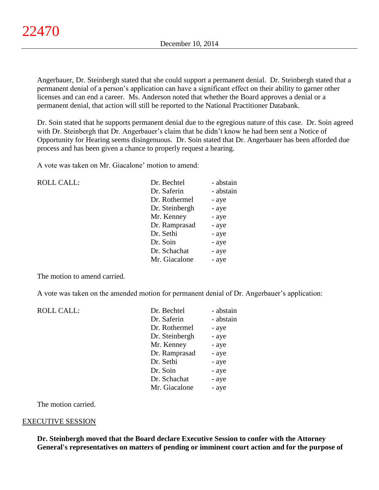Angerbauer, Dr. Steinbergh stated that she could support a permanent denial. Dr. Steinbergh stated that a permanent denial of a person's application can have a significant effect on their ability to garner other licenses and can end a career. Ms. Anderson noted that whether the Board approves a denial or a permanent denial, that action will still be reported to the National Practitioner Databank.

Dr. Soin stated that he supports permanent denial due to the egregious nature of this case. Dr. Soin agreed with Dr. Steinbergh that Dr. Angerbauer's claim that he didn't know he had been sent a Notice of Opportunity for Hearing seems disingenuous. Dr. Soin stated that Dr. Angerbauer has been afforded due process and has been given a chance to properly request a hearing.

A vote was taken on Mr. Giacalone' motion to amend:

| <b>ROLL CALL:</b> | Dr. Bechtel    | - abstain |
|-------------------|----------------|-----------|
|                   | Dr. Saferin    | - abstain |
|                   | Dr. Rothermel  | - aye     |
|                   | Dr. Steinbergh | - aye     |
|                   | Mr. Kenney     | - aye     |
|                   | Dr. Ramprasad  | - aye     |
|                   | Dr. Sethi      | - aye     |
|                   | Dr. Soin       | - aye     |
|                   | Dr. Schachat   | - aye     |
|                   | Mr. Giacalone  | - aye     |
|                   |                |           |

The motion to amend carried.

A vote was taken on the amended motion for permanent denial of Dr. Angerbauer's application:

| <b>ROLL CALL:</b> | Dr. Bechtel    | - abstain |
|-------------------|----------------|-----------|
|                   | Dr. Saferin    | - abstain |
|                   | Dr. Rothermel  | - aye     |
|                   | Dr. Steinbergh | - aye     |
|                   | Mr. Kenney     | - aye     |
|                   | Dr. Ramprasad  | - aye     |
|                   | Dr. Sethi      | - aye     |
|                   | Dr. Soin       | - aye     |
|                   | Dr. Schachat   | - aye     |
|                   | Mr. Giacalone  | - aye     |
|                   |                |           |

The motion carried.

# EXECUTIVE SESSION

**Dr. Steinbergh moved that the Board declare Executive Session to confer with the Attorney General's representatives on matters of pending or imminent court action and for the purpose of**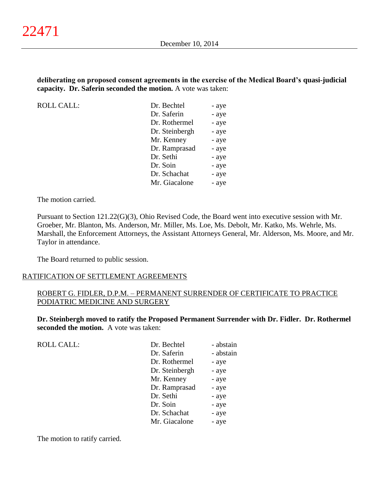# **deliberating on proposed consent agreements in the exercise of the Medical Board's quasi-judicial capacity. Dr. Saferin seconded the motion.** A vote was taken:

ROLL CALL:

| Dr. Bechtel    | - aye |
|----------------|-------|
| Dr. Saferin    | - aye |
| Dr. Rothermel  | - aye |
| Dr. Steinbergh | - aye |
| Mr. Kenney     | - aye |
| Dr. Ramprasad  | - aye |
| Dr. Sethi      | - aye |
| Dr. Soin       | - aye |
| Dr. Schachat   | - aye |
| Mr. Giacalone  | - aye |
|                |       |

The motion carried.

Pursuant to Section 121.22(G)(3), Ohio Revised Code, the Board went into executive session with Mr. Groeber, Mr. Blanton, Ms. Anderson, Mr. Miller, Ms. Loe, Ms. Debolt, Mr. Katko, Ms. Wehrle, Ms. Marshall, the Enforcement Attorneys, the Assistant Attorneys General, Mr. Alderson, Ms. Moore, and Mr. Taylor in attendance.

The Board returned to public session.

# RATIFICATION OF SETTLEMENT AGREEMENTS

# ROBERT G. FIDLER, D.P.M. – PERMANENT SURRENDER OF CERTIFICATE TO PRACTICE PODIATRIC MEDICINE AND SURGERY

**Dr. Steinbergh moved to ratify the Proposed Permanent Surrender with Dr. Fidler. Dr. Rothermel seconded the motion.** A vote was taken:

| <b>ROLL CALL:</b> | Dr. Bechtel    | - abstain |
|-------------------|----------------|-----------|
|                   | Dr. Saferin    | - abstain |
|                   | Dr. Rothermel  | - aye     |
|                   | Dr. Steinbergh | - aye     |
|                   | Mr. Kenney     | - aye     |
|                   | Dr. Ramprasad  | - aye     |
|                   | Dr. Sethi      | - aye     |
|                   | Dr. Soin       | - aye     |
|                   | Dr. Schachat   | - aye     |
|                   | Mr. Giacalone  | - aye     |
|                   |                |           |

The motion to ratify carried.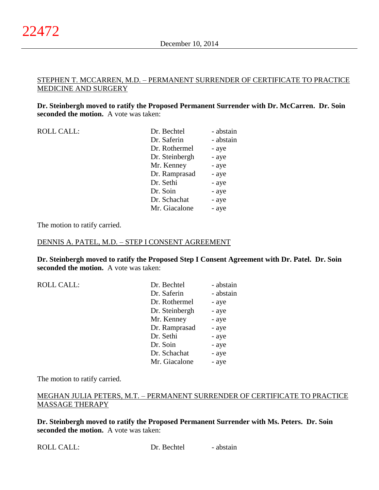# STEPHEN T. MCCARREN, M.D. – PERMANENT SURRENDER OF CERTIFICATE TO PRACTICE MEDICINE AND SURGERY

**Dr. Steinbergh moved to ratify the Proposed Permanent Surrender with Dr. McCarren. Dr. Soin seconded the motion.** A vote was taken:

| <b>ROLL CALL:</b> |  |
|-------------------|--|
|                   |  |

| <b>ROLL CALL:</b> | Dr. Bechtel    | - abstain |
|-------------------|----------------|-----------|
|                   | Dr. Saferin    | - abstain |
|                   | Dr. Rothermel  | - aye     |
|                   | Dr. Steinbergh | - aye     |
|                   | Mr. Kenney     | - aye     |
|                   | Dr. Ramprasad  | - aye     |
|                   | Dr. Sethi      | - aye     |
|                   | Dr. Soin       | - aye     |
|                   | Dr. Schachat   | - aye     |
|                   | Mr. Giacalone  | - aye     |
|                   |                |           |

The motion to ratify carried.

#### DENNIS A. PATEL, M.D. – STEP I CONSENT AGREEMENT

**Dr. Steinbergh moved to ratify the Proposed Step I Consent Agreement with Dr. Patel. Dr. Soin seconded the motion.** A vote was taken:

| <b>ROLL CALL:</b> | Dr. Bechtel    | - abstain |
|-------------------|----------------|-----------|
|                   | Dr. Saferin    | - abstain |
|                   | Dr. Rothermel  | - aye     |
|                   | Dr. Steinbergh | - aye     |
|                   | Mr. Kenney     | - aye     |
|                   | Dr. Ramprasad  | - aye     |
|                   | Dr. Sethi      | - aye     |
|                   | Dr. Soin       | - aye     |
|                   | Dr. Schachat   | - aye     |
|                   | Mr. Giacalone  | - aye     |

The motion to ratify carried.

# MEGHAN JULIA PETERS, M.T. – PERMANENT SURRENDER OF CERTIFICATE TO PRACTICE MASSAGE THERAPY

**Dr. Steinbergh moved to ratify the Proposed Permanent Surrender with Ms. Peters. Dr. Soin seconded the motion.** A vote was taken: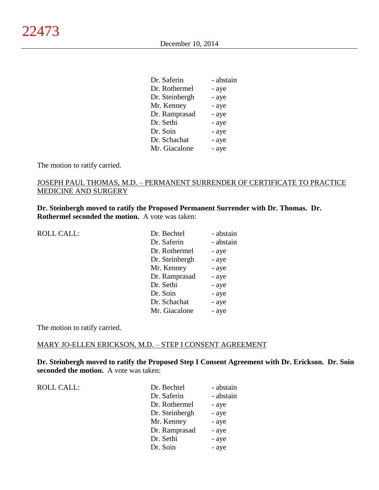| Dr. Saferin    | - abstain |
|----------------|-----------|
| Dr. Rothermel  | - aye     |
| Dr. Steinbergh | - aye     |
| Mr. Kenney     | - aye     |
| Dr. Ramprasad  | - aye     |
| Dr. Sethi      | - aye     |
| Dr. Soin       | - aye     |
| Dr. Schachat   | - aye     |
| Mr. Giacalone  | - aye     |

The motion to ratify carried.

# JOSEPH PAUL THOMAS, M.D. – PERMANENT SURRENDER OF CERTIFICATE TO PRACTICE MEDICINE AND SURGERY

**Dr. Steinbergh moved to ratify the Proposed Permanent Surrender with Dr. Thomas. Dr. Rothermel seconded the motion.** A vote was taken:

| <b>ROLL CALL:</b> | Dr. Bechtel    | - abstain |
|-------------------|----------------|-----------|
|                   | Dr. Saferin    | - abstain |
|                   | Dr. Rothermel  | - aye     |
|                   | Dr. Steinbergh | - aye     |
|                   | Mr. Kenney     | - aye     |
|                   | Dr. Ramprasad  | - aye     |
|                   | Dr. Sethi      | - aye     |
|                   | Dr. Soin       | - aye     |
|                   | Dr. Schachat   | - aye     |
|                   | Mr. Giacalone  | - aye     |
|                   |                |           |

The motion to ratify carried.

## MARY JO-ELLEN ERICKSON, M.D. – STEP I CONSENT AGREEMENT

**Dr. Steinbergh moved to ratify the Proposed Step I Consent Agreement with Dr. Erickson. Dr. Soin seconded the motion.** A vote was taken:

ROLL CALL:  $\qquad \qquad \blacksquare$ 

| Dr. Bechtel    | - abstain |
|----------------|-----------|
| Dr. Saferin    | - abstain |
| Dr. Rothermel  | - aye     |
| Dr. Steinbergh | - aye     |
| Mr. Kenney     | - aye     |
| Dr. Ramprasad  | - aye     |
| Dr. Sethi      | - aye     |
| Dr. Soin       | - aye     |
|                |           |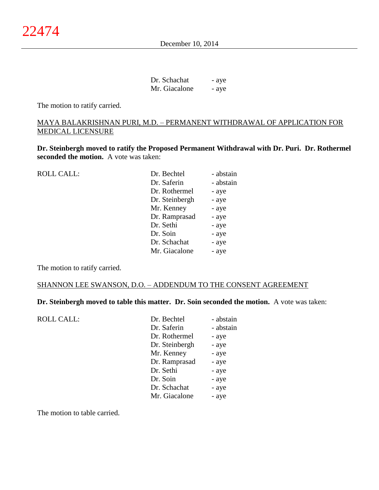December 10, 2014

| Dr. Schachat  | - aye |
|---------------|-------|
| Mr. Giacalone | - aye |

The motion to ratify carried.

# MAYA BALAKRISHNAN PURI, M.D. – PERMANENT WITHDRAWAL OF APPLICATION FOR MEDICAL LICENSURE

**Dr. Steinbergh moved to ratify the Proposed Permanent Withdrawal with Dr. Puri. Dr. Rothermel seconded the motion.** A vote was taken:

| <b>ROLL CALL:</b> | Dr. Bechtel    | - abstain |
|-------------------|----------------|-----------|
|                   | Dr. Saferin    | - abstain |
|                   | Dr. Rothermel  | - aye     |
|                   | Dr. Steinbergh | - aye     |
|                   | Mr. Kenney     | - aye     |
|                   | Dr. Ramprasad  | - aye     |
|                   | Dr. Sethi      | - aye     |
|                   | Dr. Soin       | - aye     |
|                   | Dr. Schachat   | - aye     |
|                   | Mr. Giacalone  | - aye     |
|                   |                |           |

The motion to ratify carried.

#### SHANNON LEE SWANSON, D.O. – ADDENDUM TO THE CONSENT AGREEMENT

**Dr. Steinbergh moved to table this matter. Dr. Soin seconded the motion.** A vote was taken:

| <b>ROLL CALL:</b> | Dr. Bechtel    | - abstain |
|-------------------|----------------|-----------|
|                   | Dr. Saferin    | - abstain |
|                   | Dr. Rothermel  | - aye     |
|                   | Dr. Steinbergh | - aye     |
|                   | Mr. Kenney     | - aye     |
|                   | Dr. Ramprasad  | - aye     |
|                   | Dr. Sethi      | - aye     |
|                   | Dr. Soin       | - aye     |
|                   | Dr. Schachat   | - aye     |
|                   | Mr. Giacalone  | - aye     |
|                   |                |           |

The motion to table carried.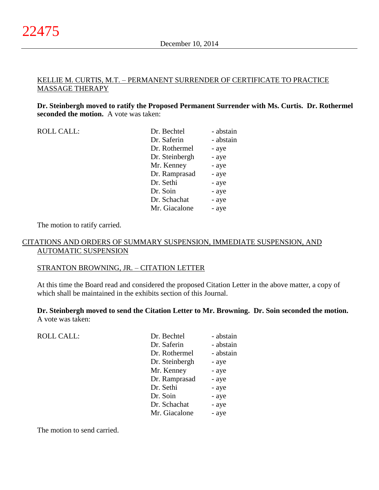# KELLIE M. CURTIS, M.T. – PERMANENT SURRENDER OF CERTIFICATE TO PRACTICE MASSAGE THERAPY

**Dr. Steinbergh moved to ratify the Proposed Permanent Surrender with Ms. Curtis. Dr. Rothermel seconded the motion.** A vote was taken:

| <b>ROLL CALL:</b> |
|-------------------|
|-------------------|

| <b>ROLL CALL:</b> | Dr. Bechtel    | - abstain |
|-------------------|----------------|-----------|
|                   | Dr. Saferin    | - abstain |
|                   | Dr. Rothermel  | - aye     |
|                   | Dr. Steinbergh | - aye     |
|                   | Mr. Kenney     | - aye     |
|                   | Dr. Ramprasad  | - aye     |
|                   | Dr. Sethi      | - aye     |
|                   | Dr. Soin       | - aye     |
|                   | Dr. Schachat   | - aye     |
|                   | Mr. Giacalone  | - aye     |
|                   |                |           |

The motion to ratify carried.

# CITATIONS AND ORDERS OF SUMMARY SUSPENSION, IMMEDIATE SUSPENSION, AND AUTOMATIC SUSPENSION

# STRANTON BROWNING, JR. – CITATION LETTER

At this time the Board read and considered the proposed Citation Letter in the above matter, a copy of which shall be maintained in the exhibits section of this Journal.

# **Dr. Steinbergh moved to send the Citation Letter to Mr. Browning. Dr. Soin seconded the motion.** A vote was taken:

ROLL CALL: Dr. Bechtel

| Dr. Bechtel    | - abstain |
|----------------|-----------|
| Dr. Saferin    | - abstain |
| Dr. Rothermel  | - abstain |
| Dr. Steinbergh | - aye     |
| Mr. Kenney     | - aye     |
| Dr. Ramprasad  | - aye     |
| Dr. Sethi      | - aye     |
| Dr. Soin       | - aye     |
| Dr. Schachat   | - aye     |
| Mr. Giacalone  | - aye     |
|                |           |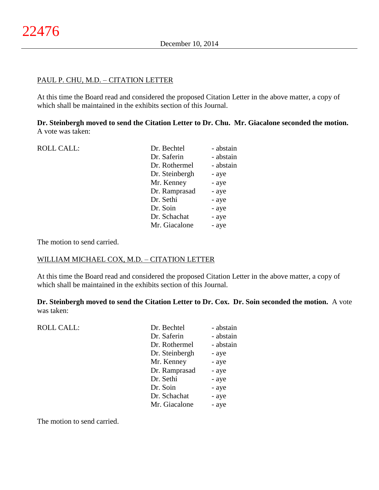## PAUL P. CHU, M.D. – CITATION LETTER

At this time the Board read and considered the proposed Citation Letter in the above matter, a copy of which shall be maintained in the exhibits section of this Journal.

**Dr. Steinbergh moved to send the Citation Letter to Dr. Chu. Mr. Giacalone seconded the motion.** A vote was taken:

| <b>ROLL CALL:</b> | Dr. Bechtel    | - abstain |
|-------------------|----------------|-----------|
|                   | Dr. Saferin    | - abstain |
|                   | Dr. Rothermel  | - abstain |
|                   | Dr. Steinbergh | - aye     |
|                   | Mr. Kenney     | - aye     |
|                   | Dr. Ramprasad  | - aye     |
|                   | Dr. Sethi      | - aye     |
|                   | Dr. Soin       | - aye     |
|                   | Dr. Schachat   | - aye     |
|                   | Mr. Giacalone  | - aye     |
|                   |                |           |

The motion to send carried.

# WILLIAM MICHAEL COX, M.D. – CITATION LETTER

At this time the Board read and considered the proposed Citation Letter in the above matter, a copy of which shall be maintained in the exhibits section of this Journal.

**Dr. Steinbergh moved to send the Citation Letter to Dr. Cox. Dr. Soin seconded the motion.** A vote was taken:

ROLL CALL:

| Dr. Bechtel    | - abstain |
|----------------|-----------|
| Dr. Saferin    | - abstain |
| Dr. Rothermel  | - abstain |
| Dr. Steinbergh | - aye     |
| Mr. Kenney     | - aye     |
| Dr. Ramprasad  | - aye     |
| Dr. Sethi      | - aye     |
| Dr. Soin       | - aye     |
| Dr. Schachat   | - aye     |
| Mr. Giacalone  | - aye     |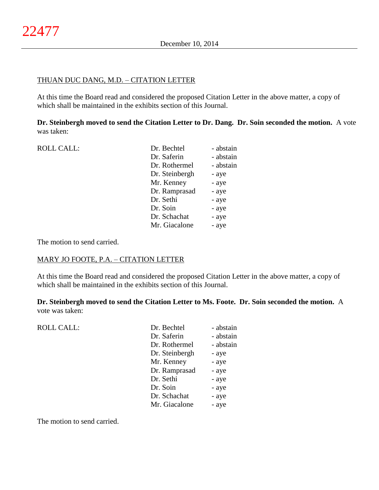# THUAN DUC DANG, M.D. – CITATION LETTER

At this time the Board read and considered the proposed Citation Letter in the above matter, a copy of which shall be maintained in the exhibits section of this Journal.

**Dr. Steinbergh moved to send the Citation Letter to Dr. Dang. Dr. Soin seconded the motion.** A vote was taken:

| <b>ROLL CALL:</b> | Dr. Bechtel    | - abstain |
|-------------------|----------------|-----------|
|                   | Dr. Saferin    | - abstain |
|                   | Dr. Rothermel  | - abstain |
|                   | Dr. Steinbergh | - aye     |
|                   | Mr. Kenney     | - aye     |
|                   | Dr. Ramprasad  | - aye     |
|                   | Dr. Sethi      | - aye     |
|                   | Dr. Soin       | - aye     |
|                   | Dr. Schachat   | - aye     |
|                   | Mr. Giacalone  | - aye     |
|                   |                |           |

The motion to send carried.

# MARY JO FOOTE, P.A. – CITATION LETTER

At this time the Board read and considered the proposed Citation Letter in the above matter, a copy of which shall be maintained in the exhibits section of this Journal.

**Dr. Steinbergh moved to send the Citation Letter to Ms. Foote. Dr. Soin seconded the motion.** A vote was taken:

ROLL CALL:

| - abstain |
|-----------|
| - abstain |
| - abstain |
| - aye     |
| - aye     |
| - aye     |
| - aye     |
| - aye     |
| - aye     |
| - aye     |
|           |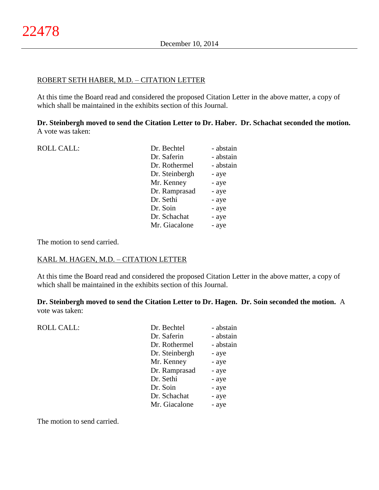## ROBERT SETH HABER, M.D. – CITATION LETTER

At this time the Board read and considered the proposed Citation Letter in the above matter, a copy of which shall be maintained in the exhibits section of this Journal.

**Dr. Steinbergh moved to send the Citation Letter to Dr. Haber. Dr. Schachat seconded the motion.** A vote was taken:

| <b>ROLL CALL:</b> | Dr. Bechtel    | - abstain |
|-------------------|----------------|-----------|
|                   | Dr. Saferin    | - abstain |
|                   | Dr. Rothermel  | - abstain |
|                   | Dr. Steinbergh | - aye     |
|                   | Mr. Kenney     | - aye     |
|                   | Dr. Ramprasad  | - aye     |
|                   | Dr. Sethi      | - aye     |
|                   | Dr. Soin       | - aye     |
|                   | Dr. Schachat   | - aye     |
|                   | Mr. Giacalone  | - aye     |
|                   |                |           |

The motion to send carried.

# KARL M. HAGEN, M.D. – CITATION LETTER

At this time the Board read and considered the proposed Citation Letter in the above matter, a copy of which shall be maintained in the exhibits section of this Journal.

**Dr. Steinbergh moved to send the Citation Letter to Dr. Hagen. Dr. Soin seconded the motion.** A vote was taken:

ROLL CALL:

| - abstain |
|-----------|
| - abstain |
| - abstain |
| - aye     |
| - aye     |
| - aye     |
| - aye     |
| - aye     |
| - aye     |
| - aye     |
|           |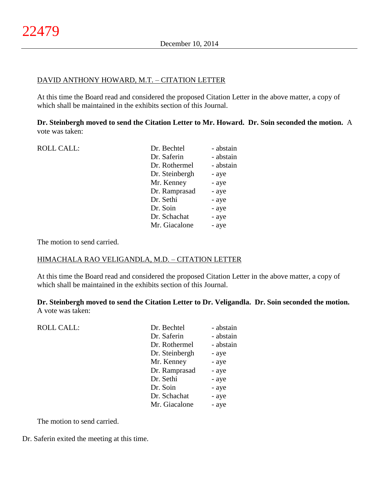## DAVID ANTHONY HOWARD, M.T. – CITATION LETTER

At this time the Board read and considered the proposed Citation Letter in the above matter, a copy of which shall be maintained in the exhibits section of this Journal.

**Dr. Steinbergh moved to send the Citation Letter to Mr. Howard. Dr. Soin seconded the motion.** A vote was taken:

| <b>ROLL CALL:</b> | Dr. Bechtel    | - abstain |
|-------------------|----------------|-----------|
|                   | Dr. Saferin    | - abstain |
|                   | Dr. Rothermel  | - abstain |
|                   | Dr. Steinbergh | - aye     |
|                   | Mr. Kenney     | - aye     |
|                   | Dr. Ramprasad  | - aye     |
|                   | Dr. Sethi      | - aye     |
|                   | Dr. Soin       | - aye     |
|                   | Dr. Schachat   | - aye     |
|                   | Mr. Giacalone  | - aye     |
|                   |                |           |

The motion to send carried.

ROLL CALL:

## HIMACHALA RAO VELIGANDLA, M.D. – CITATION LETTER

At this time the Board read and considered the proposed Citation Letter in the above matter, a copy of which shall be maintained in the exhibits section of this Journal.

**Dr. Steinbergh moved to send the Citation Letter to Dr. Veligandla. Dr. Soin seconded the motion.** A vote was taken:

| Dr. Bechtel    | - abstain |
|----------------|-----------|
| Dr. Saferin    | - abstain |
| Dr. Rothermel  | - abstain |
| Dr. Steinbergh | - aye     |
| Mr. Kenney     | - aye     |
| Dr. Ramprasad  | - aye     |
| Dr. Sethi      | - aye     |
| Dr. Soin       | - aye     |
| Dr. Schachat   | - aye     |
| Mr. Giacalone  | - aye     |
|                |           |

The motion to send carried.

Dr. Saferin exited the meeting at this time.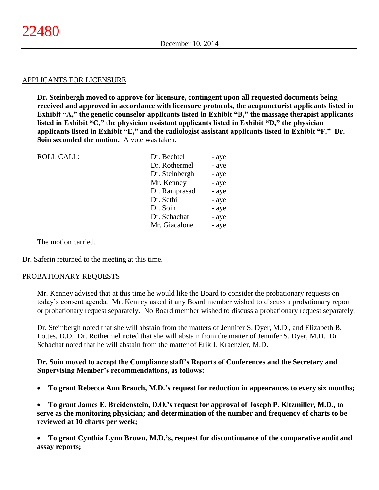#### APPLICANTS FOR LICENSURE

**Dr. Steinbergh moved to approve for licensure, contingent upon all requested documents being received and approved in accordance with licensure protocols, the acupuncturist applicants listed in Exhibit "A," the genetic counselor applicants listed in Exhibit "B," the massage therapist applicants listed in Exhibit "C," the physician assistant applicants listed in Exhibit "D," the physician applicants listed in Exhibit "E," and the radiologist assistant applicants listed in Exhibit "F." Dr. Soin seconded the motion.** A vote was taken:

| <b>ROLL CALL:</b> | Dr. Bechtel    | - aye |
|-------------------|----------------|-------|
|                   | Dr. Rothermel  | - aye |
|                   | Dr. Steinbergh | - aye |
|                   | Mr. Kenney     | - aye |
|                   | Dr. Ramprasad  | - aye |
|                   | Dr. Sethi      | - aye |
|                   | Dr. Soin       | - aye |
|                   | Dr. Schachat   | - aye |
|                   | Mr. Giacalone  | - aye |
|                   |                |       |

The motion carried.

Dr. Saferin returned to the meeting at this time.

#### PROBATIONARY REQUESTS

Mr. Kenney advised that at this time he would like the Board to consider the probationary requests on today's consent agenda. Mr. Kenney asked if any Board member wished to discuss a probationary report or probationary request separately. No Board member wished to discuss a probationary request separately.

Dr. Steinbergh noted that she will abstain from the matters of Jennifer S. Dyer, M.D., and Elizabeth B. Lottes, D.O. Dr. Rothermel noted that she will abstain from the matter of Jennifer S. Dyer, M.D. Dr. Schachat noted that he will abstain from the matter of Erik J. Kraenzler, M.D.

**Dr. Soin moved to accept the Compliance staff's Reports of Conferences and the Secretary and Supervising Member's recommendations, as follows:**

**To grant Rebecca Ann Brauch, M.D.'s request for reduction in appearances to every six months;**

 **To grant James E. Breidenstein, D.O.'s request for approval of Joseph P. Kitzmiller, M.D., to serve as the monitoring physician; and determination of the number and frequency of charts to be reviewed at 10 charts per week;**

 **To grant Cynthia Lynn Brown, M.D.'s, request for discontinuance of the comparative audit and assay reports;**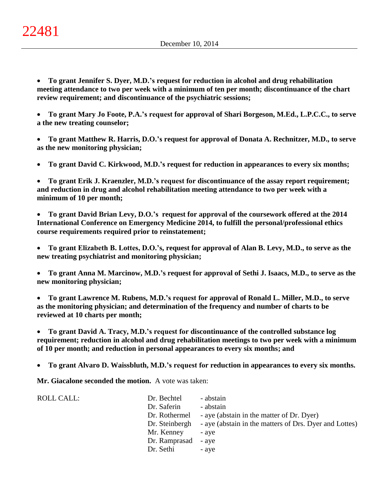**To grant Jennifer S. Dyer, M.D.'s request for reduction in alcohol and drug rehabilitation meeting attendance to two per week with a minimum of ten per month; discontinuance of the chart review requirement; and discontinuance of the psychiatric sessions;**

 **To grant Mary Jo Foote, P.A.'s request for approval of Shari Borgeson, M.Ed., L.P.C.C., to serve a the new treating counselor;**

 **To grant Matthew R. Harris, D.O.'s request for approval of Donata A. Rechnitzer, M.D., to serve as the new monitoring physician;**

**To grant David C. Kirkwood, M.D.'s request for reduction in appearances to every six months;**

 **To grant Erik J. Kraenzler, M.D.'s request for discontinuance of the assay report requirement; and reduction in drug and alcohol rehabilitation meeting attendance to two per week with a minimum of 10 per month;**

 **To grant David Brian Levy, D.O.'s request for approval of the coursework offered at the 2014 International Conference on Emergency Medicine 2014, to fulfill the personal/professional ethics course requirements required prior to reinstatement;**

 **To grant Elizabeth B. Lottes, D.O.'s, request for approval of Alan B. Levy, M.D., to serve as the new treating psychiatrist and monitoring physician;**

 **To grant Anna M. Marcinow, M.D.'s request for approval of Sethi J. Isaacs, M.D., to serve as the new monitoring physician;**

 **To grant Lawrence M. Rubens, M.D.'s request for approval of Ronald L. Miller, M.D., to serve as the monitoring physician; and determination of the frequency and number of charts to be reviewed at 10 charts per month;**

 **To grant David A. Tracy, M.D.'s request for discontinuance of the controlled substance log requirement; reduction in alcohol and drug rehabilitation meetings to two per week with a minimum of 10 per month; and reduction in personal appearances to every six months; and**

**To grant Alvaro D. Waissbluth, M.D.'s request for reduction in appearances to every six months.**

**Mr. Giacalone seconded the motion.** A vote was taken:

| <b>ROLL CALL:</b> | Dr. Bechtel         | - abstain                                              |
|-------------------|---------------------|--------------------------------------------------------|
|                   | Dr. Saferin         | - abstain                                              |
|                   | Dr. Rothermel       | - aye (abstain in the matter of Dr. Dyer)              |
|                   | Dr. Steinbergh      | - aye (abstain in the matters of Drs. Dyer and Lottes) |
|                   | Mr. Kenney          | - ave                                                  |
|                   | Dr. Ramprasad - aye |                                                        |
|                   | Dr. Sethi           | - ave                                                  |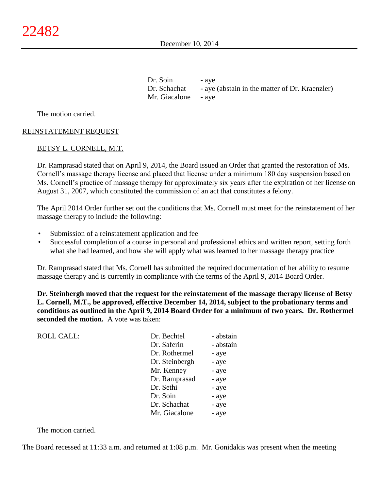December 10, 2014

Dr. Soin - aye Dr. Schachat - aye (abstain in the matter of Dr. Kraenzler) Mr. Giacalone - aye

The motion carried.

# REINSTATEMENT REQUEST

#### BETSY L. CORNELL, M.T.

Dr. Ramprasad stated that on April 9, 2014, the Board issued an Order that granted the restoration of Ms. Cornell's massage therapy license and placed that license under a minimum 180 day suspension based on Ms. Cornell's practice of massage therapy for approximately six years after the expiration of her license on August 31, 2007, which constituted the commission of an act that constitutes a felony.

The April 2014 Order further set out the conditions that Ms. Cornell must meet for the reinstatement of her massage therapy to include the following:

- Submission of a reinstatement application and fee
- Successful completion of a course in personal and professional ethics and written report, setting forth what she had learned, and how she will apply what was learned to her massage therapy practice

Dr. Ramprasad stated that Ms. Cornell has submitted the required documentation of her ability to resume massage therapy and is currently in compliance with the terms of the April 9, 2014 Board Order.

**Dr. Steinbergh moved that the request for the reinstatement of the massage therapy license of Betsy L. Cornell, M.T., be approved, effective December 14, 2014, subject to the probationary terms and conditions as outlined in the April 9, 2014 Board Order for a minimum of two years. Dr. Rothermel seconded the motion.** A vote was taken:

| <b>ROLL CALL:</b> | Dr. Bechtel    | - abstain |
|-------------------|----------------|-----------|
|                   | Dr. Saferin    | - abstain |
|                   | Dr. Rothermel  | - aye     |
|                   | Dr. Steinbergh | - aye     |
|                   | Mr. Kenney     | - aye     |
|                   | Dr. Ramprasad  | - aye     |
|                   | Dr. Sethi      | - aye     |
|                   | Dr. Soin       | - aye     |
|                   | Dr. Schachat   | - aye     |
|                   | Mr. Giacalone  | - aye     |
|                   |                |           |

The motion carried.

The Board recessed at 11:33 a.m. and returned at 1:08 p.m. Mr. Gonidakis was present when the meeting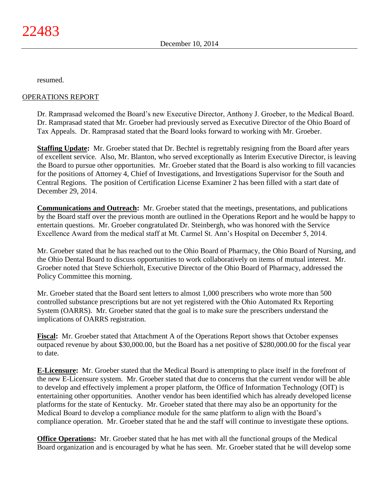resumed.

# OPERATIONS REPORT

Dr. Ramprasad welcomed the Board's new Executive Director, Anthony J. Groeber, to the Medical Board. Dr. Ramprasad stated that Mr. Groeber had previously served as Executive Director of the Ohio Board of Tax Appeals. Dr. Ramprasad stated that the Board looks forward to working with Mr. Groeber.

**Staffing Update:** Mr. Groeber stated that Dr. Bechtel is regrettably resigning from the Board after years of excellent service. Also, Mr. Blanton, who served exceptionally as Interim Executive Director, is leaving the Board to pursue other opportunities. Mr. Groeber stated that the Board is also working to fill vacancies for the positions of Attorney 4, Chief of Investigations, and Investigations Supervisor for the South and Central Regions. The position of Certification License Examiner 2 has been filled with a start date of December 29, 2014.

**Communications and Outreach:** Mr. Groeber stated that the meetings, presentations, and publications by the Board staff over the previous month are outlined in the Operations Report and he would be happy to entertain questions. Mr. Groeber congratulated Dr. Steinbergh, who was honored with the Service Excellence Award from the medical staff at Mt. Carmel St. Ann's Hospital on December 5, 2014.

Mr. Groeber stated that he has reached out to the Ohio Board of Pharmacy, the Ohio Board of Nursing, and the Ohio Dental Board to discuss opportunities to work collaboratively on items of mutual interest. Mr. Groeber noted that Steve Schierholt, Executive Director of the Ohio Board of Pharmacy, addressed the Policy Committee this morning.

Mr. Groeber stated that the Board sent letters to almost 1,000 prescribers who wrote more than 500 controlled substance prescriptions but are not yet registered with the Ohio Automated Rx Reporting System (OARRS). Mr. Groeber stated that the goal is to make sure the prescribers understand the implications of OARRS registration.

**Fiscal:** Mr. Groeber stated that Attachment A of the Operations Report shows that October expenses outpaced revenue by about \$30,000.00, but the Board has a net positive of \$280,000.00 for the fiscal year to date.

**E-Licensure:** Mr. Groeber stated that the Medical Board is attempting to place itself in the forefront of the new E-Licensure system. Mr. Groeber stated that due to concerns that the current vendor will be able to develop and effectively implement a proper platform, the Office of Information Technology (OIT) is entertaining other opportunities. Another vendor has been identified which has already developed license platforms for the state of Kentucky. Mr. Groeber stated that there may also be an opportunity for the Medical Board to develop a compliance module for the same platform to align with the Board's compliance operation. Mr. Groeber stated that he and the staff will continue to investigate these options.

**Office Operations:** Mr. Groeber stated that he has met with all the functional groups of the Medical Board organization and is encouraged by what he has seen. Mr. Groeber stated that he will develop some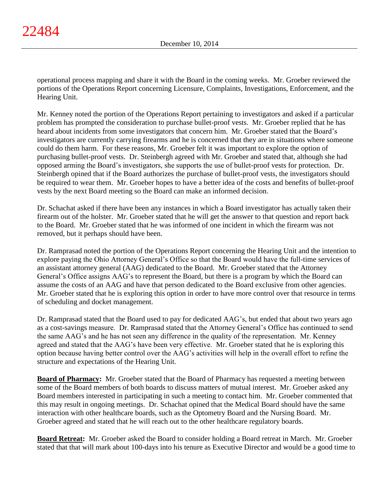operational process mapping and share it with the Board in the coming weeks. Mr. Groeber reviewed the portions of the Operations Report concerning Licensure, Complaints, Investigations, Enforcement, and the Hearing Unit.

Mr. Kenney noted the portion of the Operations Report pertaining to investigators and asked if a particular problem has prompted the consideration to purchase bullet-proof vests. Mr. Groeber replied that he has heard about incidents from some investigators that concern him. Mr. Groeber stated that the Board's investigators are currently carrying firearms and he is concerned that they are in situations where someone could do them harm. For these reasons, Mr. Groeber felt it was important to explore the option of purchasing bullet-proof vests. Dr. Steinbergh agreed with Mr. Groeber and stated that, although she had opposed arming the Board's investigators, she supports the use of bullet-proof vests for protection. Dr. Steinbergh opined that if the Board authorizes the purchase of bullet-proof vests, the investigators should be required to wear them. Mr. Groeber hopes to have a better idea of the costs and benefits of bullet-proof vests by the next Board meeting so the Board can make an informed decision.

Dr. Schachat asked if there have been any instances in which a Board investigator has actually taken their firearm out of the holster. Mr. Groeber stated that he will get the answer to that question and report back to the Board. Mr. Groeber stated that he was informed of one incident in which the firearm was not removed, but it perhaps should have been.

Dr. Ramprasad noted the portion of the Operations Report concerning the Hearing Unit and the intention to explore paying the Ohio Attorney General's Office so that the Board would have the full-time services of an assistant attorney general (AAG) dedicated to the Board. Mr. Groeber stated that the Attorney General's Office assigns AAG's to represent the Board, but there is a program by which the Board can assume the costs of an AAG and have that person dedicated to the Board exclusive from other agencies. Mr. Groeber stated that he is exploring this option in order to have more control over that resource in terms of scheduling and docket management.

Dr. Ramprasad stated that the Board used to pay for dedicated AAG's, but ended that about two years ago as a cost-savings measure. Dr. Ramprasad stated that the Attorney General's Office has continued to send the same AAG's and he has not seen any difference in the quality of the representation. Mr. Kenney agreed and stated that the AAG's have been very effective. Mr. Groeber stated that he is exploring this option because having better control over the AAG's activities will help in the overall effort to refine the structure and expectations of the Hearing Unit.

**Board of Pharmacy:** Mr. Groeber stated that the Board of Pharmacy has requested a meeting between some of the Board members of both boards to discuss matters of mutual interest. Mr. Groeber asked any Board members interested in participating in such a meeting to contact him. Mr. Groeber commented that this may result in ongoing meetings. Dr. Schachat opined that the Medical Board should have the same interaction with other healthcare boards, such as the Optometry Board and the Nursing Board. Mr. Groeber agreed and stated that he will reach out to the other healthcare regulatory boards.

**Board Retreat:** Mr. Groeber asked the Board to consider holding a Board retreat in March. Mr. Groeber stated that that will mark about 100-days into his tenure as Executive Director and would be a good time to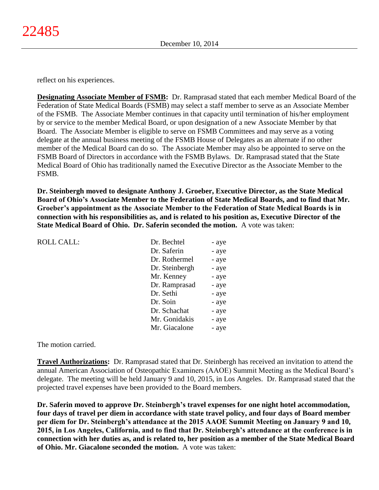reflect on his experiences.

**Designating Associate Member of FSMB:** Dr. Ramprasad stated that each member Medical Board of the Federation of State Medical Boards (FSMB) may select a staff member to serve as an Associate Member of the FSMB. The Associate Member continues in that capacity until termination of his/her employment by or service to the member Medical Board, or upon designation of a new Associate Member by that Board. The Associate Member is eligible to serve on FSMB Committees and may serve as a voting delegate at the annual business meeting of the FSMB House of Delegates as an alternate if no other member of the Medical Board can do so. The Associate Member may also be appointed to serve on the FSMB Board of Directors in accordance with the FSMB Bylaws. Dr. Ramprasad stated that the State Medical Board of Ohio has traditionally named the Executive Director as the Associate Member to the FSMB.

**Dr. Steinbergh moved to designate Anthony J. Groeber, Executive Director, as the State Medical Board of Ohio's Associate Member to the Federation of State Medical Boards, and to find that Mr. Groeber's appointment as the Associate Member to the Federation of State Medical Boards is in connection with his responsibilities as, and is related to his position as, Executive Director of the State Medical Board of Ohio. Dr. Saferin seconded the motion.** A vote was taken:

| <b>ROLL CALL:</b> | Dr. Bechtel    |       |
|-------------------|----------------|-------|
|                   |                | - aye |
|                   | Dr. Saferin    | - aye |
|                   | Dr. Rothermel  | - aye |
|                   | Dr. Steinbergh | - aye |
|                   | Mr. Kenney     | - aye |
|                   | Dr. Ramprasad  | - aye |
|                   | Dr. Sethi      | - aye |
|                   | Dr. Soin       | - aye |
|                   | Dr. Schachat   | - aye |
|                   | Mr. Gonidakis  | - aye |
|                   | Mr. Giacalone  | - aye |

The motion carried.

**Travel Authorizations:** Dr. Ramprasad stated that Dr. Steinbergh has received an invitation to attend the annual American Association of Osteopathic Examiners (AAOE) Summit Meeting as the Medical Board's delegate. The meeting will be held January 9 and 10, 2015, in Los Angeles. Dr. Ramprasad stated that the projected travel expenses have been provided to the Board members.

**Dr. Saferin moved to approve Dr. Steinbergh's travel expenses for one night hotel accommodation, four days of travel per diem in accordance with state travel policy, and four days of Board member per diem for Dr. Steinbergh's attendance at the 2015 AAOE Summit Meeting on January 9 and 10, 2015, in Los Angeles, California, and to find that Dr. Steinbergh's attendance at the conference is in connection with her duties as, and is related to, her position as a member of the State Medical Board of Ohio. Mr. Giacalone seconded the motion.** A vote was taken: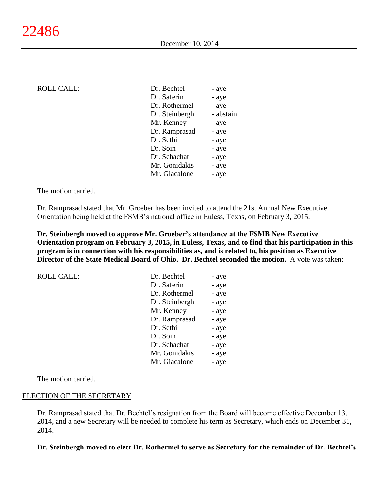| <b>ROLL CALL:</b> | Dr. Bechtel    | - aye     |
|-------------------|----------------|-----------|
|                   | Dr. Saferin    | - aye     |
|                   | Dr. Rothermel  | - aye     |
|                   | Dr. Steinbergh | - abstain |
|                   | Mr. Kenney     | - aye     |
|                   | Dr. Ramprasad  | - aye     |
|                   | Dr. Sethi      | - aye     |
|                   | Dr. Soin       | - aye     |
|                   | Dr. Schachat   | - aye     |
|                   | Mr. Gonidakis  | - aye     |
|                   | Mr. Giacalone  | - aye     |
|                   |                |           |

The motion carried.

Dr. Ramprasad stated that Mr. Groeber has been invited to attend the 21st Annual New Executive Orientation being held at the FSMB's national office in Euless, Texas, on February 3, 2015.

**Dr. Steinbergh moved to approve Mr. Groeber's attendance at the FSMB New Executive Orientation program on February 3, 2015, in Euless, Texas, and to find that his participation in this program is in connection with his responsibilities as, and is related to, his position as Executive Director of the State Medical Board of Ohio. Dr. Bechtel seconded the motion.** A vote was taken:

| <b>ROLL CALL:</b> | Dr. Bechtel    | - aye |
|-------------------|----------------|-------|
|                   | Dr. Saferin    | - aye |
|                   | Dr. Rothermel  | - aye |
|                   | Dr. Steinbergh | - aye |
|                   | Mr. Kenney     | - aye |
|                   | Dr. Ramprasad  | - aye |
|                   | Dr. Sethi      | - aye |
|                   | Dr. Soin       | - aye |
|                   | Dr. Schachat   | - aye |
|                   | Mr. Gonidakis  | - aye |
|                   | Mr. Giacalone  | - aye |

The motion carried.

#### ELECTION OF THE SECRETARY

Dr. Ramprasad stated that Dr. Bechtel's resignation from the Board will become effective December 13, 2014, and a new Secretary will be needed to complete his term as Secretary, which ends on December 31, 2014.

**Dr. Steinbergh moved to elect Dr. Rothermel to serve as Secretary for the remainder of Dr. Bechtel's**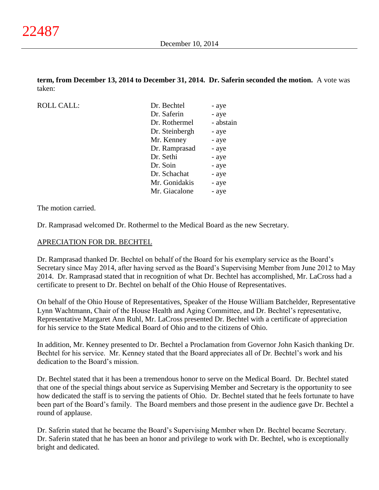**term, from December 13, 2014 to December 31, 2014. Dr. Saferin seconded the motion.** A vote was taken:

ROLL CALL:

| Dr. Bechtel    | - aye     |
|----------------|-----------|
| Dr. Saferin    | - aye     |
| Dr. Rothermel  | - abstain |
| Dr. Steinbergh | - aye     |
| Mr. Kenney     | - aye     |
| Dr. Ramprasad  | - aye     |
| Dr. Sethi      | - aye     |
| Dr. Soin       | - aye     |
| Dr. Schachat   | - aye     |
| Mr. Gonidakis  | - aye     |
| Mr. Giacalone  | - aye     |

The motion carried.

Dr. Ramprasad welcomed Dr. Rothermel to the Medical Board as the new Secretary.

#### APRECIATION FOR DR. BECHTEL

Dr. Ramprasad thanked Dr. Bechtel on behalf of the Board for his exemplary service as the Board's Secretary since May 2014, after having served as the Board's Supervising Member from June 2012 to May 2014. Dr. Ramprasad stated that in recognition of what Dr. Bechtel has accomplished, Mr. LaCross had a certificate to present to Dr. Bechtel on behalf of the Ohio House of Representatives.

On behalf of the Ohio House of Representatives, Speaker of the House William Batchelder, Representative Lynn Wachtmann, Chair of the House Health and Aging Committee, and Dr. Bechtel's representative, Representative Margaret Ann Ruhl, Mr. LaCross presented Dr. Bechtel with a certificate of appreciation for his service to the State Medical Board of Ohio and to the citizens of Ohio.

In addition, Mr. Kenney presented to Dr. Bechtel a Proclamation from Governor John Kasich thanking Dr. Bechtel for his service. Mr. Kenney stated that the Board appreciates all of Dr. Bechtel's work and his dedication to the Board's mission.

Dr. Bechtel stated that it has been a tremendous honor to serve on the Medical Board. Dr. Bechtel stated that one of the special things about service as Supervising Member and Secretary is the opportunity to see how dedicated the staff is to serving the patients of Ohio. Dr. Bechtel stated that he feels fortunate to have been part of the Board's family. The Board members and those present in the audience gave Dr. Bechtel a round of applause.

Dr. Saferin stated that he became the Board's Supervising Member when Dr. Bechtel became Secretary. Dr. Saferin stated that he has been an honor and privilege to work with Dr. Bechtel, who is exceptionally bright and dedicated.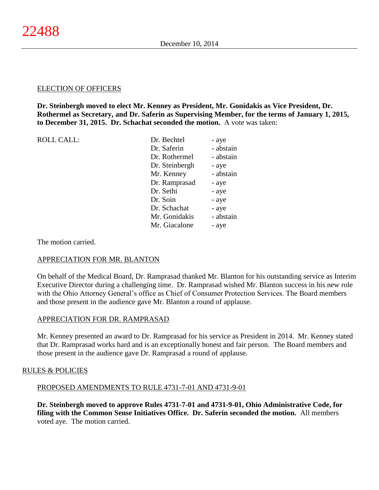## ELECTION OF OFFICERS

**Dr. Steinbergh moved to elect Mr. Kenney as President, Mr. Gonidakis as Vice President, Dr. Rothermel as Secretary, and Dr. Saferin as Supervising Member, for the terms of January 1, 2015, to December 31, 2015. Dr. Schachat seconded the motion.** A vote was taken:

|  | <b>ROLL CALL:</b> |
|--|-------------------|
|--|-------------------|

| <b>ROLL CALL:</b> | Dr. Bechtel    | - aye     |
|-------------------|----------------|-----------|
|                   | Dr. Saferin    | - abstain |
|                   | Dr. Rothermel  | - abstain |
|                   | Dr. Steinbergh | - aye     |
|                   | Mr. Kenney     | - abstain |
|                   | Dr. Ramprasad  | - aye     |
|                   | Dr. Sethi      | - aye     |
|                   | Dr. Soin       | - aye     |
|                   | Dr. Schachat   | - aye     |
|                   | Mr. Gonidakis  | - abstain |
|                   | Mr. Giacalone  | - aye     |
|                   |                |           |

The motion carried.

# APPRECIATION FOR MR. BLANTON

On behalf of the Medical Board, Dr. Ramprasad thanked Mr. Blanton for his outstanding service as Interim Executive Director during a challenging time. Dr. Ramprasad wished Mr. Blanton success in his new role with the Ohio Attorney General's office as Chief of Consumer Protection Services. The Board members and those present in the audience gave Mr. Blanton a round of applause.

#### APPRECIATION FOR DR. RAMPRASAD

Mr. Kenney presented an award to Dr. Ramprasad for his service as President in 2014. Mr. Kenney stated that Dr. Ramprasad works hard and is an exceptionally honest and fair person. The Board members and those present in the audience gave Dr. Ramprasad a round of applause.

# RULES & POLICIES

# PROPOSED AMENDMENTS TO RULE 4731-7-01 AND 4731-9-01

**Dr. Steinbergh moved to approve Rules 4731-7-01 and 4731-9-01, Ohio Administrative Code, for filing with the Common Sense Initiatives Office. Dr. Saferin seconded the motion.** All members voted aye. The motion carried.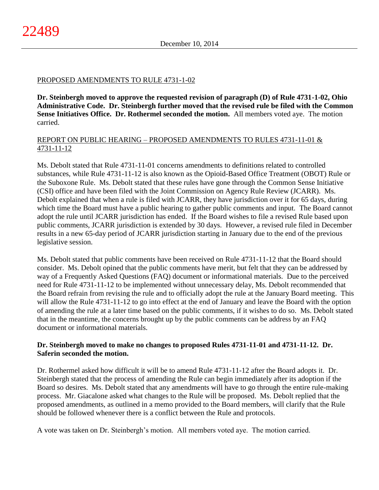# PROPOSED AMENDMENTS TO RULE 4731-1-02

**Dr. Steinbergh moved to approve the requested revision of paragraph (D) of Rule 4731-1-02, Ohio Administrative Code. Dr. Steinbergh further moved that the revised rule be filed with the Common Sense Initiatives Office. Dr. Rothermel seconded the motion.** All members voted aye. The motion carried.

# REPORT ON PUBLIC HEARING – PROPOSED AMENDMENTS TO RULES 4731-11-01 & 4731-11-12

Ms. Debolt stated that Rule 4731-11-01 concerns amendments to definitions related to controlled substances, while Rule 4731-11-12 is also known as the Opioid-Based Office Treatment (OBOT) Rule or the Suboxone Rule. Ms. Debolt stated that these rules have gone through the Common Sense Initiative (CSI) office and have been filed with the Joint Commission on Agency Rule Review (JCARR). Ms. Debolt explained that when a rule is filed with JCARR, they have jurisdiction over it for 65 days, during which time the Board must have a public hearing to gather public comments and input. The Board cannot adopt the rule until JCARR jurisdiction has ended. If the Board wishes to file a revised Rule based upon public comments, JCARR jurisdiction is extended by 30 days. However, a revised rule filed in December results in a new 65-day period of JCARR jurisdiction starting in January due to the end of the previous legislative session.

Ms. Debolt stated that public comments have been received on Rule 4731-11-12 that the Board should consider. Ms. Debolt opined that the public comments have merit, but felt that they can be addressed by way of a Frequently Asked Questions (FAQ) document or informational materials. Due to the perceived need for Rule 4731-11-12 to be implemented without unnecessary delay, Ms. Debolt recommended that the Board refrain from revising the rule and to officially adopt the rule at the January Board meeting. This will allow the Rule 4731-11-12 to go into effect at the end of January and leave the Board with the option of amending the rule at a later time based on the public comments, if it wishes to do so. Ms. Debolt stated that in the meantime, the concerns brought up by the public comments can be address by an FAQ document or informational materials.

# **Dr. Steinbergh moved to make no changes to proposed Rules 4731-11-01 and 4731-11-12. Dr. Saferin seconded the motion.**

Dr. Rothermel asked how difficult it will be to amend Rule 4731-11-12 after the Board adopts it. Dr. Steinbergh stated that the process of amending the Rule can begin immediately after its adoption if the Board so desires. Ms. Debolt stated that any amendments will have to go through the entire rule-making process. Mr. Giacalone asked what changes to the Rule will be proposed. Ms. Debolt replied that the proposed amendments, as outlined in a memo provided to the Board members, will clarify that the Rule should be followed whenever there is a conflict between the Rule and protocols.

A vote was taken on Dr. Steinbergh's motion. All members voted aye. The motion carried.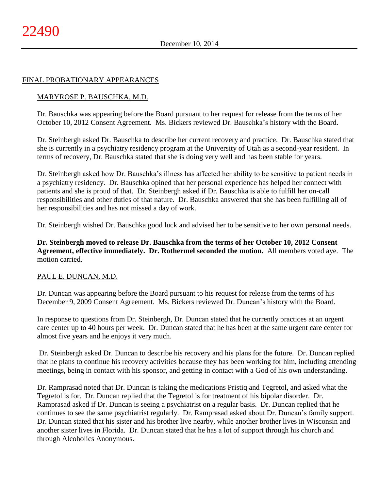# FINAL PROBATIONARY APPEARANCES

# MARYROSE P. BAUSCHKA, M.D.

Dr. Bauschka was appearing before the Board pursuant to her request for release from the terms of her October 10, 2012 Consent Agreement. Ms. Bickers reviewed Dr. Bauschka's history with the Board.

Dr. Steinbergh asked Dr. Bauschka to describe her current recovery and practice. Dr. Bauschka stated that she is currently in a psychiatry residency program at the University of Utah as a second-year resident. In terms of recovery, Dr. Bauschka stated that she is doing very well and has been stable for years.

Dr. Steinbergh asked how Dr. Bauschka's illness has affected her ability to be sensitive to patient needs in a psychiatry residency. Dr. Bauschka opined that her personal experience has helped her connect with patients and she is proud of that. Dr. Steinbergh asked if Dr. Bauschka is able to fulfill her on-call responsibilities and other duties of that nature. Dr. Bauschka answered that she has been fulfilling all of her responsibilities and has not missed a day of work.

Dr. Steinbergh wished Dr. Bauschka good luck and advised her to be sensitive to her own personal needs.

**Dr. Steinbergh moved to release Dr. Bauschka from the terms of her October 10, 2012 Consent Agreement, effective immediately. Dr. Rothermel seconded the motion.** All members voted aye. The motion carried.

# PAUL E. DUNCAN, M.D.

Dr. Duncan was appearing before the Board pursuant to his request for release from the terms of his December 9, 2009 Consent Agreement. Ms. Bickers reviewed Dr. Duncan's history with the Board.

In response to questions from Dr. Steinbergh, Dr. Duncan stated that he currently practices at an urgent care center up to 40 hours per week. Dr. Duncan stated that he has been at the same urgent care center for almost five years and he enjoys it very much.

Dr. Steinbergh asked Dr. Duncan to describe his recovery and his plans for the future. Dr. Duncan replied that he plans to continue his recovery activities because they has been working for him, including attending meetings, being in contact with his sponsor, and getting in contact with a God of his own understanding.

Dr. Ramprasad noted that Dr. Duncan is taking the medications Pristiq and Tegretol, and asked what the Tegretol is for. Dr. Duncan replied that the Tegretol is for treatment of his bipolar disorder. Dr. Ramprasad asked if Dr. Duncan is seeing a psychiatrist on a regular basis. Dr. Duncan replied that he continues to see the same psychiatrist regularly. Dr. Ramprasad asked about Dr. Duncan's family support. Dr. Duncan stated that his sister and his brother live nearby, while another brother lives in Wisconsin and another sister lives in Florida. Dr. Duncan stated that he has a lot of support through his church and through Alcoholics Anonymous.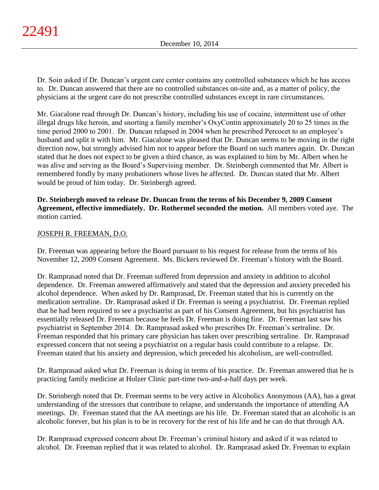Dr. Soin asked if Dr. Duncan's urgent care center contains any controlled substances which he has access to. Dr. Duncan answered that there are no controlled substances on-site and, as a matter of policy, the physicians at the urgent care do not prescribe controlled substances except in rare circumstances.

Mr. Giacalone read through Dr. Duncan's history, including his use of cocaine, intermittent use of other illegal drugs like heroin, and snorting a family member's OxyContin approximately 20 to 25 times in the time period 2000 to 2001. Dr. Duncan relapsed in 2004 when he prescribed Percocet to an employee's husband and split it with him. Mr. Giacalone was pleased that Dr. Duncan seems to be moving in the right direction now, but strongly advised him not to appear before the Board on such matters again. Dr. Duncan stated that he does not expect to be given a third chance, as was explained to him by Mr. Albert when he was alive and serving as the Board's Supervising member. Dr. Steinbergh commented that Mr. Albert is remembered fondly by many probationers whose lives he affected. Dr. Duncan stated that Mr. Albert would be proud of him today. Dr. Steinbergh agreed.

**Dr. Steinbergh moved to release Dr. Duncan from the terms of his December 9, 2009 Consent Agreement, effective immediately. Dr. Rothermel seconded the motion.** All members voted aye. The motion carried.

# JOSEPH R. FREEMAN, D.O.

Dr. Freeman was appearing before the Board pursuant to his request for release from the terms of his November 12, 2009 Consent Agreement. Ms. Bickers reviewed Dr. Freeman's history with the Board.

Dr. Ramprasad noted that Dr. Freeman suffered from depression and anxiety in addition to alcohol dependence. Dr. Freeman answered affirmatively and stated that the depression and anxiety preceded his alcohol dependence. When asked by Dr. Ramprasad, Dr. Freeman stated that his is currently on the medication sertraline. Dr. Ramprasad asked if Dr. Freeman is seeing a psychiatrist. Dr. Freeman replied that he had been required to see a psychiatrist as part of his Consent Agreement, but his psychiatrist has essentially released Dr. Freeman because he feels Dr. Freeman is doing fine. Dr. Freeman last saw his psychiatrist in September 2014. Dr. Ramprasad asked who prescribes Dr. Freeman's sertraline. Dr. Freeman responded that his primary care physician has taken over prescribing sertraline. Dr. Ramprasad expressed concern that not seeing a psychiatrist on a regular basis could contribute to a relapse. Dr. Freeman stated that his anxiety and depression, which preceded his alcoholism, are well-controlled.

Dr. Ramprasad asked what Dr. Freeman is doing in terms of his practice. Dr. Freeman answered that he is practicing family medicine at Holzer Clinic part-time two-and-a-half days per week.

Dr. Steinbergh noted that Dr. Freeman seems to be very active in Alcoholics Anonymous (AA), has a great understanding of the stressors that contribute to relapse, and understands the importance of attending AA meetings. Dr. Freeman stated that the AA meetings are his life. Dr. Freeman stated that an alcoholic is an alcoholic forever, but his plan is to be in recovery for the rest of his life and he can do that through AA.

Dr. Ramprasad expressed concern about Dr. Freeman's criminal history and asked if it was related to alcohol. Dr. Freeman replied that it was related to alcohol. Dr. Ramprasad asked Dr. Freeman to explain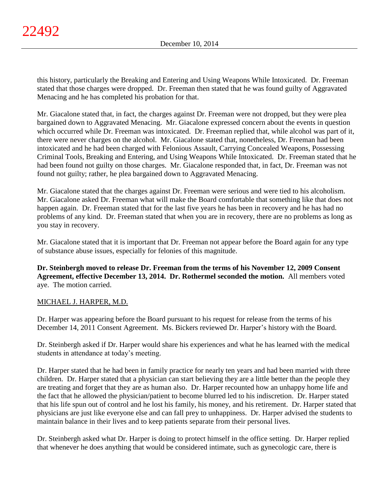this history, particularly the Breaking and Entering and Using Weapons While Intoxicated. Dr. Freeman stated that those charges were dropped. Dr. Freeman then stated that he was found guilty of Aggravated Menacing and he has completed his probation for that.

Mr. Giacalone stated that, in fact, the charges against Dr. Freeman were not dropped, but they were plea bargained down to Aggravated Menacing. Mr. Giacalone expressed concern about the events in question which occurred while Dr. Freeman was intoxicated. Dr. Freeman replied that, while alcohol was part of it, there were never charges on the alcohol. Mr. Giacalone stated that, nonetheless, Dr. Freeman had been intoxicated and he had been charged with Felonious Assault, Carrying Concealed Weapons, Possessing Criminal Tools, Breaking and Entering, and Using Weapons While Intoxicated. Dr. Freeman stated that he had been found not guilty on those charges. Mr. Giacalone responded that, in fact, Dr. Freeman was not found not guilty; rather, he plea bargained down to Aggravated Menacing.

Mr. Giacalone stated that the charges against Dr. Freeman were serious and were tied to his alcoholism. Mr. Giacalone asked Dr. Freeman what will make the Board comfortable that something like that does not happen again. Dr. Freeman stated that for the last five years he has been in recovery and he has had no problems of any kind. Dr. Freeman stated that when you are in recovery, there are no problems as long as you stay in recovery.

Mr. Giacalone stated that it is important that Dr. Freeman not appear before the Board again for any type of substance abuse issues, especially for felonies of this magnitude.

**Dr. Steinbergh moved to release Dr. Freeman from the terms of his November 12, 2009 Consent Agreement, effective December 13, 2014. Dr. Rothermel seconded the motion.** All members voted aye. The motion carried.

# MICHAEL J. HARPER, M.D.

Dr. Harper was appearing before the Board pursuant to his request for release from the terms of his December 14, 2011 Consent Agreement. Ms. Bickers reviewed Dr. Harper's history with the Board.

Dr. Steinbergh asked if Dr. Harper would share his experiences and what he has learned with the medical students in attendance at today's meeting.

Dr. Harper stated that he had been in family practice for nearly ten years and had been married with three children. Dr. Harper stated that a physician can start believing they are a little better than the people they are treating and forget that they are as human also. Dr. Harper recounted how an unhappy home life and the fact that he allowed the physician/patient to become blurred led to his indiscretion. Dr. Harper stated that his life spun out of control and he lost his family, his money, and his retirement. Dr. Harper stated that physicians are just like everyone else and can fall prey to unhappiness. Dr. Harper advised the students to maintain balance in their lives and to keep patients separate from their personal lives.

Dr. Steinbergh asked what Dr. Harper is doing to protect himself in the office setting. Dr. Harper replied that whenever he does anything that would be considered intimate, such as gynecologic care, there is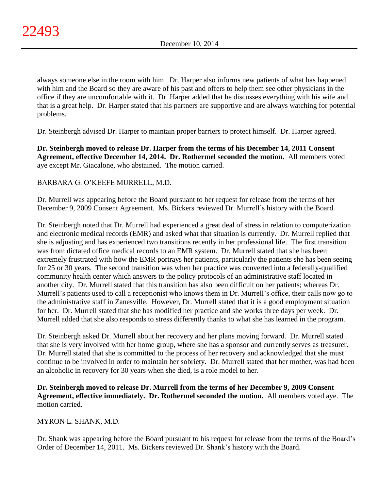always someone else in the room with him. Dr. Harper also informs new patients of what has happened with him and the Board so they are aware of his past and offers to help them see other physicians in the office if they are uncomfortable with it. Dr. Harper added that he discusses everything with his wife and that is a great help. Dr. Harper stated that his partners are supportive and are always watching for potential problems.

Dr. Steinbergh advised Dr. Harper to maintain proper barriers to protect himself. Dr. Harper agreed.

**Dr. Steinbergh moved to release Dr. Harper from the terms of his December 14, 2011 Consent Agreement, effective December 14, 2014. Dr. Rothermel seconded the motion.** All members voted aye except Mr. Giacalone, who abstained. The motion carried.

# BARBARA G. O'KEEFE MURRELL, M.D.

Dr. Murrell was appearing before the Board pursuant to her request for release from the terms of her December 9, 2009 Consent Agreement. Ms. Bickers reviewed Dr. Murrell's history with the Board.

Dr. Steinbergh noted that Dr. Murrell had experienced a great deal of stress in relation to computerization and electronic medical records (EMR) and asked what that situation is currently. Dr. Murrell replied that she is adjusting and has experienced two transitions recently in her professional life. The first transition was from dictated office medical records to an EMR system. Dr. Murrell stated that she has been extremely frustrated with how the EMR portrays her patients, particularly the patients she has been seeing for 25 or 30 years. The second transition was when her practice was converted into a federally-qualified community health center which answers to the policy protocols of an administrative staff located in another city. Dr. Murrell stated that this transition has also been difficult on her patients; whereas Dr. Murrell's patients used to call a receptionist who knows them in Dr. Murrell's office, their calls now go to the administrative staff in Zanesville. However, Dr. Murrell stated that it is a good employment situation for her. Dr. Murrell stated that she has modified her practice and she works three days per week. Dr. Murrell added that she also responds to stress differently thanks to what she has learned in the program.

Dr. Steinbergh asked Dr. Murrell about her recovery and her plans moving forward. Dr. Murrell stated that she is very involved with her home group, where she has a sponsor and currently serves as treasurer. Dr. Murrell stated that she is committed to the process of her recovery and acknowledged that she must continue to be involved in order to maintain her sobriety. Dr. Murrell stated that her mother, was had been an alcoholic in recovery for 30 years when she died, is a role model to her.

**Dr. Steinbergh moved to release Dr. Murrell from the terms of her December 9, 2009 Consent Agreement, effective immediately. Dr. Rothermel seconded the motion.** All members voted aye. The motion carried.

# MYRON L. SHANK, M.D.

Dr. Shank was appearing before the Board pursuant to his request for release from the terms of the Board's Order of December 14, 2011. Ms. Bickers reviewed Dr. Shank's history with the Board.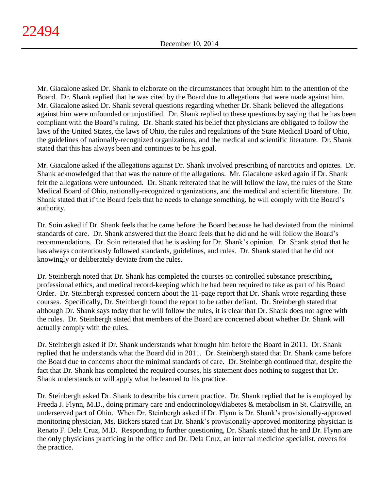Mr. Giacalone asked Dr. Shank to elaborate on the circumstances that brought him to the attention of the Board. Dr. Shank replied that he was cited by the Board due to allegations that were made against him. Mr. Giacalone asked Dr. Shank several questions regarding whether Dr. Shank believed the allegations against him were unfounded or unjustified. Dr. Shank replied to these questions by saying that he has been compliant with the Board's ruling. Dr. Shank stated his belief that physicians are obligated to follow the laws of the United States, the laws of Ohio, the rules and regulations of the State Medical Board of Ohio, the guidelines of nationally-recognized organizations, and the medical and scientific literature. Dr. Shank stated that this has always been and continues to be his goal.

Mr. Giacalone asked if the allegations against Dr. Shank involved prescribing of narcotics and opiates. Dr. Shank acknowledged that that was the nature of the allegations. Mr. Giacalone asked again if Dr. Shank felt the allegations were unfounded. Dr. Shank reiterated that he will follow the law, the rules of the State Medical Board of Ohio, nationally-recognized organizations, and the medical and scientific literature. Dr. Shank stated that if the Board feels that he needs to change something, he will comply with the Board's authority.

Dr. Soin asked if Dr. Shank feels that he came before the Board because he had deviated from the minimal standards of care. Dr. Shank answered that the Board feels that he did and he will follow the Board's recommendations. Dr. Soin reiterated that he is asking for Dr. Shank's opinion. Dr. Shank stated that he has always contentiously followed standards, guidelines, and rules. Dr. Shank stated that he did not knowingly or deliberately deviate from the rules.

Dr. Steinbergh noted that Dr. Shank has completed the courses on controlled substance prescribing, professional ethics, and medical record-keeping which he had been required to take as part of his Board Order. Dr. Steinbergh expressed concern about the 11-page report that Dr. Shank wrote regarding these courses. Specifically, Dr. Steinbergh found the report to be rather defiant. Dr. Steinbergh stated that although Dr. Shank says today that he will follow the rules, it is clear that Dr. Shank does not agree with the rules. Dr. Steinbergh stated that members of the Board are concerned about whether Dr. Shank will actually comply with the rules.

Dr. Steinbergh asked if Dr. Shank understands what brought him before the Board in 2011. Dr. Shank replied that he understands what the Board did in 2011. Dr. Steinbergh stated that Dr. Shank came before the Board due to concerns about the minimal standards of care. Dr. Steinbergh continued that, despite the fact that Dr. Shank has completed the required courses, his statement does nothing to suggest that Dr. Shank understands or will apply what he learned to his practice.

Dr. Steinbergh asked Dr. Shank to describe his current practice. Dr. Shank replied that he is employed by Freeda J. Flynn, M.D., doing primary care and endocrinology/diabetes & metabolism in St. Clairsville, an underserved part of Ohio. When Dr. Steinbergh asked if Dr. Flynn is Dr. Shank's provisionally-approved monitoring physician, Ms. Bickers stated that Dr. Shank's provisionally-approved monitoring physician is Renato F. Dela Cruz, M.D. Responding to further questioning, Dr. Shank stated that he and Dr. Flynn are the only physicians practicing in the office and Dr. Dela Cruz, an internal medicine specialist, covers for the practice.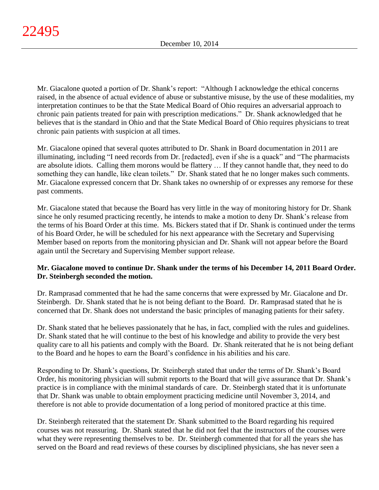Mr. Giacalone quoted a portion of Dr. Shank's report: "Although I acknowledge the ethical concerns raised, in the absence of actual evidence of abuse or substantive misuse, by the use of these modalities, my interpretation continues to be that the State Medical Board of Ohio requires an adversarial approach to chronic pain patients treated for pain with prescription medications." Dr. Shank acknowledged that he believes that is the standard in Ohio and that the State Medical Board of Ohio requires physicians to treat chronic pain patients with suspicion at all times.

Mr. Giacalone opined that several quotes attributed to Dr. Shank in Board documentation in 2011 are illuminating, including "I need records from Dr. [redacted], even if she is a quack" and "The pharmacists are absolute idiots. Calling them morons would be flattery … If they cannot handle that, they need to do something they can handle, like clean toilets." Dr. Shank stated that he no longer makes such comments. Mr. Giacalone expressed concern that Dr. Shank takes no ownership of or expresses any remorse for these past comments.

Mr. Giacalone stated that because the Board has very little in the way of monitoring history for Dr. Shank since he only resumed practicing recently, he intends to make a motion to deny Dr. Shank's release from the terms of his Board Order at this time. Ms. Bickers stated that if Dr. Shank is continued under the terms of his Board Order, he will be scheduled for his next appearance with the Secretary and Supervising Member based on reports from the monitoring physician and Dr. Shank will not appear before the Board again until the Secretary and Supervising Member support release.

# **Mr. Giacalone moved to continue Dr. Shank under the terms of his December 14, 2011 Board Order. Dr. Steinbergh seconded the motion.**

Dr. Ramprasad commented that he had the same concerns that were expressed by Mr. Giacalone and Dr. Steinbergh. Dr. Shank stated that he is not being defiant to the Board. Dr. Ramprasad stated that he is concerned that Dr. Shank does not understand the basic principles of managing patients for their safety.

Dr. Shank stated that he believes passionately that he has, in fact, complied with the rules and guidelines. Dr. Shank stated that he will continue to the best of his knowledge and ability to provide the very best quality care to all his patients and comply with the Board. Dr. Shank reiterated that he is not being defiant to the Board and he hopes to earn the Board's confidence in his abilities and his care.

Responding to Dr. Shank's questions, Dr. Steinbergh stated that under the terms of Dr. Shank's Board Order, his monitoring physician will submit reports to the Board that will give assurance that Dr. Shank's practice is in compliance with the minimal standards of care. Dr. Steinbergh stated that it is unfortunate that Dr. Shank was unable to obtain employment practicing medicine until November 3, 2014, and therefore is not able to provide documentation of a long period of monitored practice at this time.

Dr. Steinbergh reiterated that the statement Dr. Shank submitted to the Board regarding his required courses was not reassuring. Dr. Shank stated that he did not feel that the instructors of the courses were what they were representing themselves to be. Dr. Steinbergh commented that for all the years she has served on the Board and read reviews of these courses by disciplined physicians, she has never seen a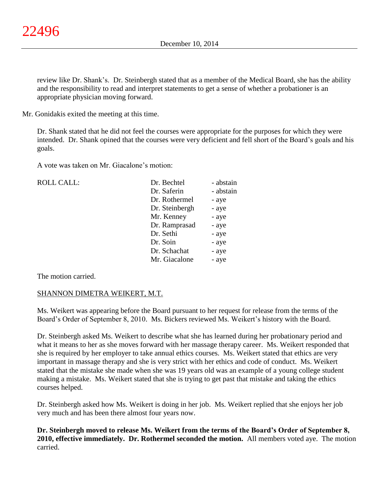review like Dr. Shank's. Dr. Steinbergh stated that as a member of the Medical Board, she has the ability and the responsibility to read and interpret statements to get a sense of whether a probationer is an appropriate physician moving forward.

Mr. Gonidakis exited the meeting at this time.

Dr. Shank stated that he did not feel the courses were appropriate for the purposes for which they were intended. Dr. Shank opined that the courses were very deficient and fell short of the Board's goals and his goals.

A vote was taken on Mr. Giacalone's motion:

 $ROLL CALL$ :

| Dr. Bechtel    | - abstain |
|----------------|-----------|
| Dr. Saferin    | - abstain |
| Dr. Rothermel  | - aye     |
| Dr. Steinbergh | - aye     |
| Mr. Kenney     | - aye     |
| Dr. Ramprasad  | - aye     |
| Dr. Sethi      | - aye     |
| Dr. Soin       | - aye     |
| Dr. Schachat   | - aye     |
| Mr. Giacalone  | - aye     |

The motion carried.

# SHANNON DIMETRA WEIKERT, M.T.

Ms. Weikert was appearing before the Board pursuant to her request for release from the terms of the Board's Order of September 8, 2010. Ms. Bickers reviewed Ms. Weikert's history with the Board.

Dr. Steinbergh asked Ms. Weikert to describe what she has learned during her probationary period and what it means to her as she moves forward with her massage therapy career. Ms. Weikert responded that she is required by her employer to take annual ethics courses. Ms. Weikert stated that ethics are very important in massage therapy and she is very strict with her ethics and code of conduct. Ms. Weikert stated that the mistake she made when she was 19 years old was an example of a young college student making a mistake. Ms. Weikert stated that she is trying to get past that mistake and taking the ethics courses helped.

Dr. Steinbergh asked how Ms. Weikert is doing in her job. Ms. Weikert replied that she enjoys her job very much and has been there almost four years now.

**Dr. Steinbergh moved to release Ms. Weikert from the terms of the Board's Order of September 8, 2010, effective immediately. Dr. Rothermel seconded the motion.** All members voted aye. The motion carried.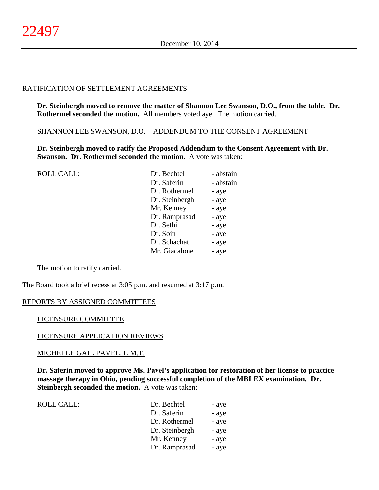# RATIFICATION OF SETTLEMENT AGREEMENTS

**Dr. Steinbergh moved to remove the matter of Shannon Lee Swanson, D.O., from the table. Dr. Rothermel seconded the motion.** All members voted aye. The motion carried.

SHANNON LEE SWANSON, D.O. – ADDENDUM TO THE CONSENT AGREEMENT

**Dr. Steinbergh moved to ratify the Proposed Addendum to the Consent Agreement with Dr. Swanson. Dr. Rothermel seconded the motion.** A vote was taken:

| <b>ROLL CALL:</b> | Dr. Bechtel    | - abstain |
|-------------------|----------------|-----------|
|                   | Dr. Saferin    | - abstain |
|                   | Dr. Rothermel  | - aye     |
|                   | Dr. Steinbergh | - aye     |
|                   | Mr. Kenney     | - aye     |
|                   | Dr. Ramprasad  | - aye     |
|                   | Dr. Sethi      | - aye     |
|                   | Dr. Soin       | - aye     |
|                   | Dr. Schachat   | - aye     |
|                   | Mr. Giacalone  | - aye     |
|                   |                |           |

The motion to ratify carried.

The Board took a brief recess at 3:05 p.m. and resumed at 3:17 p.m.

# REPORTS BY ASSIGNED COMMITTEES

# LICENSURE COMMITTEE

# LICENSURE APPLICATION REVIEWS

# MICHELLE GAIL PAVEL, L.M.T.

**Dr. Saferin moved to approve Ms. Pavel's application for restoration of her license to practice massage therapy in Ohio, pending successful completion of the MBLEX examination. Dr. Steinbergh seconded the motion.** A vote was taken:

| ROLL CALL: | Dr. Bechtel    | - aye |
|------------|----------------|-------|
|            | Dr. Saferin    | - aye |
|            | Dr. Rothermel  | - aye |
|            | Dr. Steinbergh | - aye |
|            | Mr. Kenney     | - aye |
|            | Dr. Ramprasad  | - aye |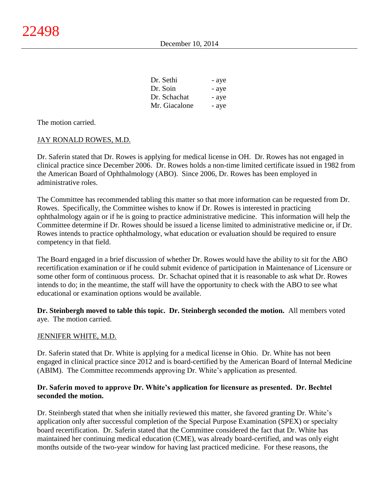| Dr. Sethi     | - aye |
|---------------|-------|
| Dr. Soin      | - aye |
| Dr. Schachat  | - aye |
| Mr. Giacalone | - aye |

The motion carried.

# JAY RONALD ROWES, M.D.

Dr. Saferin stated that Dr. Rowes is applying for medical license in OH. Dr. Rowes has not engaged in clinical practice since December 2006. Dr. Rowes holds a non-time limited certificate issued in 1982 from the American Board of Ophthalmology (ABO). Since 2006, Dr. Rowes has been employed in administrative roles.

The Committee has recommended tabling this matter so that more information can be requested from Dr. Rowes. Specifically, the Committee wishes to know if Dr. Rowes is interested in practicing ophthalmology again or if he is going to practice administrative medicine. This information will help the Committee determine if Dr. Rowes should be issued a license limited to administrative medicine or, if Dr. Rowes intends to practice ophthalmology, what education or evaluation should be required to ensure competency in that field.

The Board engaged in a brief discussion of whether Dr. Rowes would have the ability to sit for the ABO recertification examination or if he could submit evidence of participation in Maintenance of Licensure or some other form of continuous process. Dr. Schachat opined that it is reasonable to ask what Dr. Rowes intends to do; in the meantime, the staff will have the opportunity to check with the ABO to see what educational or examination options would be available.

**Dr. Steinbergh moved to table this topic. Dr. Steinbergh seconded the motion.** All members voted aye. The motion carried.

# JENNIFER WHITE, M.D.

Dr. Saferin stated that Dr. White is applying for a medical license in Ohio. Dr. White has not been engaged in clinical practice since 2012 and is board-certified by the American Board of Internal Medicine (ABIM). The Committee recommends approving Dr. White's application as presented.

# **Dr. Saferin moved to approve Dr. White's application for licensure as presented. Dr. Bechtel seconded the motion.**

Dr. Steinbergh stated that when she initially reviewed this matter, she favored granting Dr. White's application only after successful completion of the Special Purpose Examination (SPEX) or specialty board recertification. Dr. Saferin stated that the Committee considered the fact that Dr. White has maintained her continuing medical education (CME), was already board-certified, and was only eight months outside of the two-year window for having last practiced medicine. For these reasons, the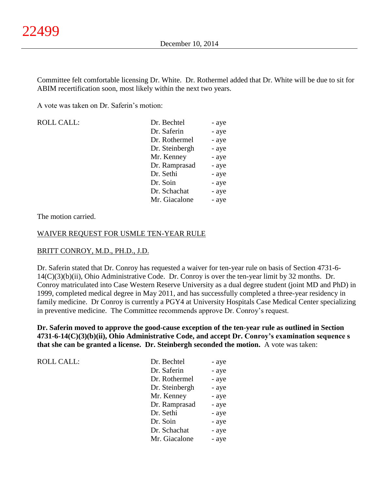Committee felt comfortable licensing Dr. White. Dr. Rothermel added that Dr. White will be due to sit for ABIM recertification soon, most likely within the next two years.

A vote was taken on Dr. Saferin's motion:

| <b>ROLL CALL:</b> | Dr. Bechtel    | - aye |
|-------------------|----------------|-------|
|                   | Dr. Saferin    | - aye |
|                   | Dr. Rothermel  | - aye |
|                   | Dr. Steinbergh | - aye |
|                   | Mr. Kenney     | - aye |
|                   | Dr. Ramprasad  | - aye |
|                   | Dr. Sethi      | - aye |
|                   | Dr. Soin       | - aye |
|                   | Dr. Schachat   | - aye |
|                   | Mr. Giacalone  | - aye |
|                   |                |       |

#### The motion carried.

#### WAIVER REQUEST FOR USMLE TEN-YEAR RULE

# BRITT CONROY, M.D., PH.D., J.D.

Dr. Saferin stated that Dr. Conroy has requested a waiver for ten-year rule on basis of Section 4731-6- 14(C)(3)(b)(ii), Ohio Administrative Code. Dr. Conroy is over the ten-year limit by 32 months. Dr. Conroy matriculated into Case Western Reserve University as a dual degree student (joint MD and PhD) in 1999, completed medical degree in May 2011, and has successfully completed a three-year residency in family medicine. Dr Conroy is currently a PGY4 at University Hospitals Case Medical Center specializing in preventive medicine. The Committee recommends approve Dr. Conroy's request.

**Dr. Saferin moved to approve the good-cause exception of the ten-year rule as outlined in Section 4731-6-14(C)(3)(b)(ii), Ohio Administrative Code, and accept Dr. Conroy's examination sequence s that she can be granted a license. Dr. Steinbergh seconded the motion.** A vote was taken:

| Dr. Bechtel    | - aye |
|----------------|-------|
| Dr. Saferin    | - aye |
| Dr. Rothermel  | - aye |
| Dr. Steinbergh | - aye |
| Mr. Kenney     | - aye |
| Dr. Ramprasad  | - aye |
| Dr. Sethi      | - aye |
| Dr. Soin       | - aye |
| Dr. Schachat   | - aye |
| Mr. Giacalone  | - aye |
|                |       |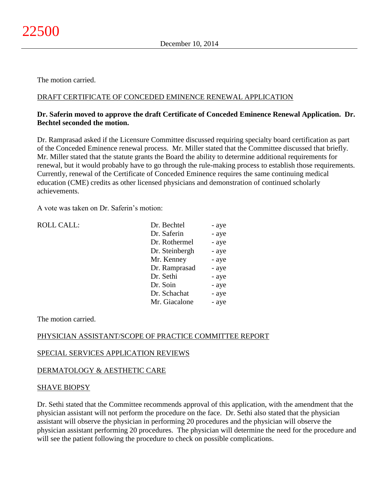The motion carried.

# DRAFT CERTIFICATE OF CONCEDED EMINENCE RENEWAL APPLICATION

# **Dr. Saferin moved to approve the draft Certificate of Conceded Eminence Renewal Application. Dr. Bechtel seconded the motion.**

Dr. Ramprasad asked if the Licensure Committee discussed requiring specialty board certification as part of the Conceded Eminence renewal process. Mr. Miller stated that the Committee discussed that briefly. Mr. Miller stated that the statute grants the Board the ability to determine additional requirements for renewal, but it would probably have to go through the rule-making process to establish those requirements. Currently, renewal of the Certificate of Conceded Eminence requires the same continuing medical education (CME) credits as other licensed physicians and demonstration of continued scholarly achievements.

A vote was taken on Dr. Saferin's motion:

| <b>ROLL CALL:</b> | Dr. Bechtel    | - aye |
|-------------------|----------------|-------|
|                   | Dr. Saferin    | - aye |
|                   | Dr. Rothermel  | - aye |
|                   | Dr. Steinbergh | - aye |
|                   | Mr. Kenney     | - aye |
|                   | Dr. Ramprasad  | - aye |
|                   | Dr. Sethi      | - aye |
|                   | Dr. Soin       | - aye |
|                   | Dr. Schachat   | - aye |
|                   | Mr. Giacalone  | - aye |
|                   |                |       |

The motion carried.

# PHYSICIAN ASSISTANT/SCOPE OF PRACTICE COMMITTEE REPORT

# SPECIAL SERVICES APPLICATION REVIEWS

# DERMATOLOGY & AESTHETIC CARE

# SHAVE BIOPSY

Dr. Sethi stated that the Committee recommends approval of this application, with the amendment that the physician assistant will not perform the procedure on the face. Dr. Sethi also stated that the physician assistant will observe the physician in performing 20 procedures and the physician will observe the physician assistant performing 20 procedures. The physician will determine the need for the procedure and will see the patient following the procedure to check on possible complications.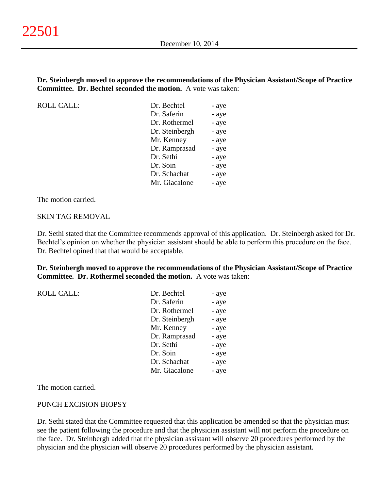## **Dr. Steinbergh moved to approve the recommendations of the Physician Assistant/Scope of Practice Committee. Dr. Bechtel seconded the motion.** A vote was taken:

ROLL CALL:

| Dr. Bechtel    | - aye |
|----------------|-------|
| Dr. Saferin    | - aye |
| Dr. Rothermel  | - aye |
| Dr. Steinbergh | - aye |
| Mr. Kenney     | - aye |
| Dr. Ramprasad  | - aye |
| Dr. Sethi      | - aye |
| Dr. Soin       | - aye |
| Dr. Schachat   | - aye |
| Mr. Giacalone  | - aye |
|                |       |

The motion carried.

#### SKIN TAG REMOVAL

Dr. Sethi stated that the Committee recommends approval of this application. Dr. Steinbergh asked for Dr. Bechtel's opinion on whether the physician assistant should be able to perform this procedure on the face. Dr. Bechtel opined that that would be acceptable.

**Dr. Steinbergh moved to approve the recommendations of the Physician Assistant/Scope of Practice Committee. Dr. Rothermel seconded the motion.** A vote was taken:

ROLL CALL:

| Dr. Bechtel    | - aye |
|----------------|-------|
| Dr. Saferin    | - aye |
| Dr. Rothermel  | - aye |
| Dr. Steinbergh | - aye |
| Mr. Kenney     | - aye |
| Dr. Ramprasad  | - aye |
| Dr. Sethi      | - aye |
| Dr. Soin       | - aye |
| Dr. Schachat   | - aye |
| Mr. Giacalone  | - aye |
|                |       |

The motion carried.

#### PUNCH EXCISION BIOPSY

Dr. Sethi stated that the Committee requested that this application be amended so that the physician must see the patient following the procedure and that the physician assistant will not perform the procedure on the face. Dr. Steinbergh added that the physician assistant will observe 20 procedures performed by the physician and the physician will observe 20 procedures performed by the physician assistant.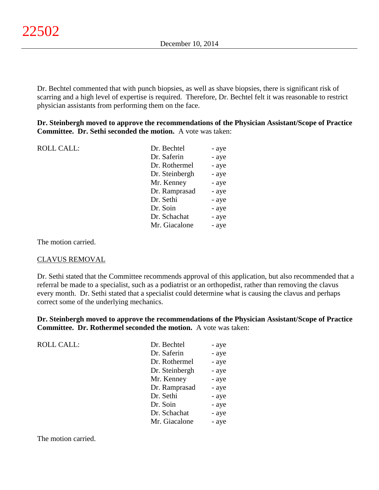Dr. Bechtel commented that with punch biopsies, as well as shave biopsies, there is significant risk of scarring and a high level of expertise is required. Therefore, Dr. Bechtel felt it was reasonable to restrict physician assistants from performing them on the face.

**Dr. Steinbergh moved to approve the recommendations of the Physician Assistant/Scope of Practice Committee. Dr. Sethi seconded the motion.** A vote was taken:

| <b>ROLL CALL:</b> | Dr. Bechtel    | - aye |
|-------------------|----------------|-------|
|                   | Dr. Saferin    | - aye |
|                   | Dr. Rothermel  | - aye |
|                   | Dr. Steinbergh | - aye |
|                   | Mr. Kenney     | - aye |
|                   | Dr. Ramprasad  | - aye |
|                   | Dr. Sethi      | - aye |
|                   | Dr. Soin       | - aye |
|                   | Dr. Schachat   | - aye |
|                   | Mr. Giacalone  | - aye |
|                   |                |       |

The motion carried.

# CLAVUS REMOVAL

Dr. Sethi stated that the Committee recommends approval of this application, but also recommended that a referral be made to a specialist, such as a podiatrist or an orthopedist, rather than removing the clavus every month. Dr. Sethi stated that a specialist could determine what is causing the clavus and perhaps correct some of the underlying mechanics.

**Dr. Steinbergh moved to approve the recommendations of the Physician Assistant/Scope of Practice Committee. Dr. Rothermel seconded the motion.** A vote was taken:

| <b>ROLL CALL:</b> | Dr. Bechtel    |       |
|-------------------|----------------|-------|
|                   |                | - aye |
|                   | Dr. Saferin    | - aye |
|                   | Dr. Rothermel  | - aye |
|                   | Dr. Steinbergh | - aye |
|                   | Mr. Kenney     | - aye |
|                   | Dr. Ramprasad  | - aye |
|                   | Dr. Sethi      | - aye |
|                   | Dr. Soin       | - aye |
|                   | Dr. Schachat   | - aye |
|                   | Mr. Giacalone  | - aye |
|                   |                |       |

The motion carried.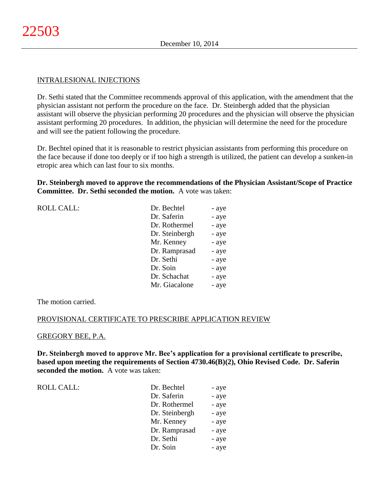## INTRALESIONAL INJECTIONS

Dr. Sethi stated that the Committee recommends approval of this application, with the amendment that the physician assistant not perform the procedure on the face. Dr. Steinbergh added that the physician assistant will observe the physician performing 20 procedures and the physician will observe the physician assistant performing 20 procedures. In addition, the physician will determine the need for the procedure and will see the patient following the procedure.

Dr. Bechtel opined that it is reasonable to restrict physician assistants from performing this procedure on the face because if done too deeply or if too high a strength is utilized, the patient can develop a sunken-in etropic area which can last four to six months.

**Dr. Steinbergh moved to approve the recommendations of the Physician Assistant/Scope of Practice Committee. Dr. Sethi seconded the motion.** A vote was taken:

| <b>ROLL CALL:</b> | Dr. Bechtel    | - aye |
|-------------------|----------------|-------|
|                   | Dr. Saferin    | - aye |
|                   | Dr. Rothermel  | - aye |
|                   | Dr. Steinbergh | - aye |
|                   | Mr. Kenney     | - aye |
|                   | Dr. Ramprasad  | - aye |
|                   | Dr. Sethi      | - aye |
|                   | Dr. Soin       | - aye |
|                   | Dr. Schachat   | - aye |
|                   | Mr. Giacalone  | - aye |
|                   |                |       |

The motion carried.

#### PROVISIONAL CERTIFICATE TO PRESCRIBE APPLICATION REVIEW

#### GREGORY BEE, P.A.

**Dr. Steinbergh moved to approve Mr. Bee's application for a provisional certificate to prescribe, based upon meeting the requirements of Section 4730.46(B)(2), Ohio Revised Code. Dr. Saferin seconded the motion.** A vote was taken:

ROLL CALL: T

| Dr. Bechtel    | - aye |
|----------------|-------|
| Dr. Saferin    | - aye |
| Dr. Rothermel  | - aye |
| Dr. Steinbergh | - aye |
| Mr. Kenney     | - aye |
| Dr. Ramprasad  | - aye |
| Dr. Sethi      | - aye |
| Dr. Soin       | - aye |
|                |       |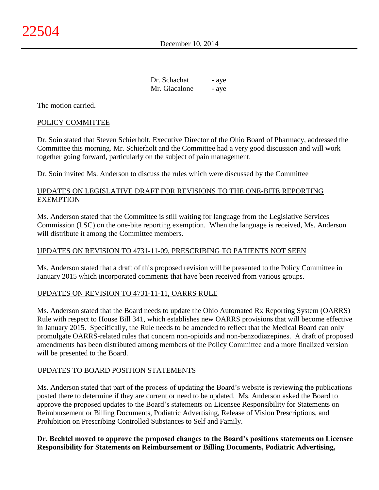| Dr. Schachat  | - aye |
|---------------|-------|
| Mr. Giacalone | - aye |

The motion carried.

# POLICY COMMITTEE

Dr. Soin stated that Steven Schierholt, Executive Director of the Ohio Board of Pharmacy, addressed the Committee this morning. Mr. Schierholt and the Committee had a very good discussion and will work together going forward, particularly on the subject of pain management.

Dr. Soin invited Ms. Anderson to discuss the rules which were discussed by the Committee

# UPDATES ON LEGISLATIVE DRAFT FOR REVISIONS TO THE ONE-BITE REPORTING **EXEMPTION**

Ms. Anderson stated that the Committee is still waiting for language from the Legislative Services Commission (LSC) on the one-bite reporting exemption. When the language is received, Ms. Anderson will distribute it among the Committee members.

# UPDATES ON REVISION TO 4731-11-09, PRESCRIBING TO PATIENTS NOT SEEN

Ms. Anderson stated that a draft of this proposed revision will be presented to the Policy Committee in January 2015 which incorporated comments that have been received from various groups.

# UPDATES ON REVISION TO 4731-11-11, OARRS RULE

Ms. Anderson stated that the Board needs to update the Ohio Automated Rx Reporting System (OARRS) Rule with respect to House Bill 341, which establishes new OARRS provisions that will become effective in January 2015. Specifically, the Rule needs to be amended to reflect that the Medical Board can only promulgate OARRS-related rules that concern non-opioids and non-benzodiazepines. A draft of proposed amendments has been distributed among members of the Policy Committee and a more finalized version will be presented to the Board.

# UPDATES TO BOARD POSITION STATEMENTS

Ms. Anderson stated that part of the process of updating the Board's website is reviewing the publications posted there to determine if they are current or need to be updated. Ms. Anderson asked the Board to approve the proposed updates to the Board's statements on Licensee Responsibility for Statements on Reimbursement or Billing Documents, Podiatric Advertising, Release of Vision Prescriptions, and Prohibition on Prescribing Controlled Substances to Self and Family.

**Dr. Bechtel moved to approve the proposed changes to the Board's positions statements on Licensee Responsibility for Statements on Reimbursement or Billing Documents, Podiatric Advertising,**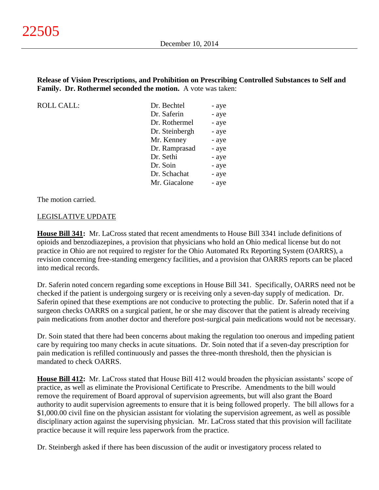# **Release of Vision Prescriptions, and Prohibition on Prescribing Controlled Substances to Self and Family. Dr. Rothermel seconded the motion.** A vote was taken:

ROLL CALL:

| Dr. Bechtel    | - aye |
|----------------|-------|
| Dr. Saferin    | - aye |
| Dr. Rothermel  | - aye |
| Dr. Steinbergh | - aye |
| Mr. Kenney     | - aye |
| Dr. Ramprasad  | - aye |
| Dr. Sethi      | - aye |
| Dr. Soin       | - aye |
| Dr. Schachat   | - aye |
| Mr. Giacalone  | - aye |

The motion carried.

# LEGISLATIVE UPDATE

**House Bill 341:** Mr. LaCross stated that recent amendments to House Bill 3341 include definitions of opioids and benzodiazepines, a provision that physicians who hold an Ohio medical license but do not practice in Ohio are not required to register for the Ohio Automated Rx Reporting System (OARRS), a revision concerning free-standing emergency facilities, and a provision that OARRS reports can be placed into medical records.

Dr. Saferin noted concern regarding some exceptions in House Bill 341. Specifically, OARRS need not be checked if the patient is undergoing surgery or is receiving only a seven-day supply of medication. Dr. Saferin opined that these exemptions are not conducive to protecting the public. Dr. Saferin noted that if a surgeon checks OARRS on a surgical patient, he or she may discover that the patient is already receiving pain medications from another doctor and therefore post-surgical pain medications would not be necessary.

Dr. Soin stated that there had been concerns about making the regulation too onerous and impeding patient care by requiring too many checks in acute situations. Dr. Soin noted that if a seven-day prescription for pain medication is refilled continuously and passes the three-month threshold, then the physician is mandated to check OARRS.

**House Bill 412:** Mr. LaCross stated that House Bill 412 would broaden the physician assistants' scope of practice, as well as eliminate the Provisional Certificate to Prescribe. Amendments to the bill would remove the requirement of Board approval of supervision agreements, but will also grant the Board authority to audit supervision agreements to ensure that it is being followed properly. The bill allows for a \$1,000.00 civil fine on the physician assistant for violating the supervision agreement, as well as possible disciplinary action against the supervising physician. Mr. LaCross stated that this provision will facilitate practice because it will require less paperwork from the practice.

Dr. Steinbergh asked if there has been discussion of the audit or investigatory process related to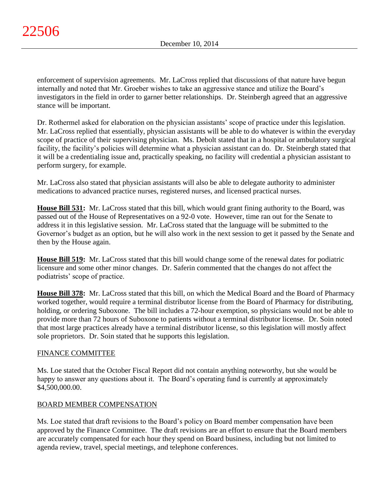enforcement of supervision agreements. Mr. LaCross replied that discussions of that nature have begun internally and noted that Mr. Groeber wishes to take an aggressive stance and utilize the Board's investigators in the field in order to garner better relationships. Dr. Steinbergh agreed that an aggressive stance will be important.

Dr. Rothermel asked for elaboration on the physician assistants' scope of practice under this legislation. Mr. LaCross replied that essentially, physician assistants will be able to do whatever is within the everyday scope of practice of their supervising physician. Ms. Debolt stated that in a hospital or ambulatory surgical facility, the facility's policies will determine what a physician assistant can do. Dr. Steinbergh stated that it will be a credentialing issue and, practically speaking, no facility will credential a physician assistant to perform surgery, for example.

Mr. LaCross also stated that physician assistants will also be able to delegate authority to administer medications to advanced practice nurses, registered nurses, and licensed practical nurses.

**House Bill 531:** Mr. LaCross stated that this bill, which would grant fining authority to the Board, was passed out of the House of Representatives on a 92-0 vote. However, time ran out for the Senate to address it in this legislative session. Mr. LaCross stated that the language will be submitted to the Governor's budget as an option, but he will also work in the next session to get it passed by the Senate and then by the House again.

**House Bill 519:** Mr. LaCross stated that this bill would change some of the renewal dates for podiatric licensure and some other minor changes. Dr. Saferin commented that the changes do not affect the podiatrists' scope of practice.

**House Bill 378:** Mr. LaCross stated that this bill, on which the Medical Board and the Board of Pharmacy worked together, would require a terminal distributor license from the Board of Pharmacy for distributing, holding, or ordering Suboxone. The bill includes a 72-hour exemption, so physicians would not be able to provide more than 72 hours of Suboxone to patients without a terminal distributor license. Dr. Soin noted that most large practices already have a terminal distributor license, so this legislation will mostly affect sole proprietors. Dr. Soin stated that he supports this legislation.

# FINANCE COMMITTEE

Ms. Loe stated that the October Fiscal Report did not contain anything noteworthy, but she would be happy to answer any questions about it. The Board's operating fund is currently at approximately \$4,500,000.00.

# BOARD MEMBER COMPENSATION

Ms. Loe stated that draft revisions to the Board's policy on Board member compensation have been approved by the Finance Committee. The draft revisions are an effort to ensure that the Board members are accurately compensated for each hour they spend on Board business, including but not limited to agenda review, travel, special meetings, and telephone conferences.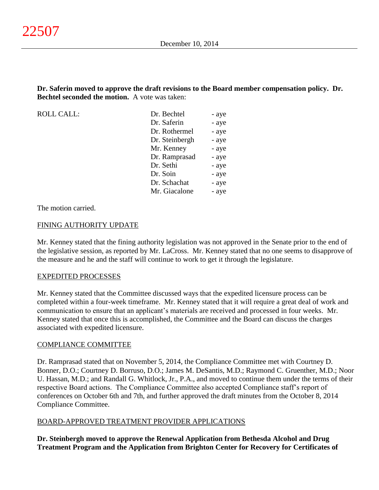**Dr. Saferin moved to approve the draft revisions to the Board member compensation policy. Dr. Bechtel seconded the motion.** A vote was taken:

ROLL CALL: Dr. Bechtel - aye Dr. Saferin - aye Dr. Rothermel - aye Dr. Steinbergh - aye Mr. Kenney - aye Dr. Ramprasad - aye Dr. Sethi - aye Dr. Soin - aye Dr. Schachat - aye Mr. Giacalone - aye

The motion carried.

#### FINING AUTHORITY UPDATE

Mr. Kenney stated that the fining authority legislation was not approved in the Senate prior to the end of the legislative session, as reported by Mr. LaCross. Mr. Kenney stated that no one seems to disapprove of the measure and he and the staff will continue to work to get it through the legislature.

#### EXPEDITED PROCESSES

Mr. Kenney stated that the Committee discussed ways that the expedited licensure process can be completed within a four-week timeframe. Mr. Kenney stated that it will require a great deal of work and communication to ensure that an applicant's materials are received and processed in four weeks. Mr. Kenney stated that once this is accomplished, the Committee and the Board can discuss the charges associated with expedited licensure.

#### COMPLIANCE COMMITTEE

Dr. Ramprasad stated that on November 5, 2014, the Compliance Committee met with Courtney D. Bonner, D.O.; Courtney D. Borruso, D.O.; James M. DeSantis, M.D.; Raymond C. Gruenther, M.D.; Noor U. Hassan, M.D.; and Randall G. Whitlock, Jr., P.A., and moved to continue them under the terms of their respective Board actions. The Compliance Committee also accepted Compliance staff's report of conferences on October 6th and 7th, and further approved the draft minutes from the October 8, 2014 Compliance Committee.

#### BOARD-APPROVED TREATMENT PROVIDER APPLICATIONS

**Dr. Steinbergh moved to approve the Renewal Application from Bethesda Alcohol and Drug Treatment Program and the Application from Brighton Center for Recovery for Certificates of**